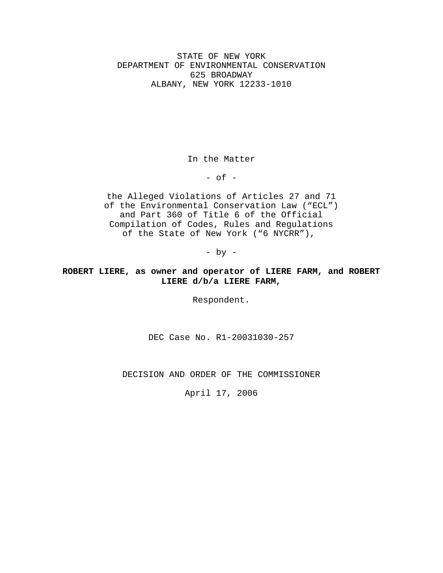STATE OF NEW YORK DEPARTMENT OF ENVIRONMENTAL CONSERVATION 625 BROADWAY ALBANY, NEW YORK 12233-1010

In the Matter

 $-$  of  $-$ 

the Alleged Violations of Articles 27 and 71 of the Environmental Conservation Law ("ECL") and Part 360 of Title 6 of the Official Compilation of Codes, Rules and Regulations of the State of New York ("6 NYCRR"),

- by -

# **ROBERT LIERE, as owner and operator of LIERE FARM, and ROBERT LIERE d/b/a LIERE FARM,**

Respondent.

DEC Case No. R1-20031030-257

DECISION AND ORDER OF THE COMMISSIONER

April 17, 2006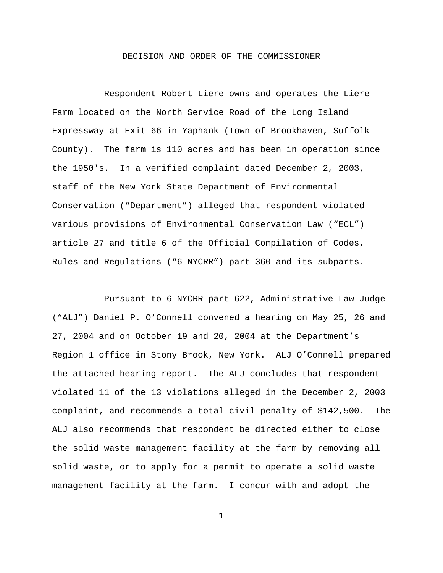### DECISION AND ORDER OF THE COMMISSIONER

Respondent Robert Liere owns and operates the Liere Farm located on the North Service Road of the Long Island Expressway at Exit 66 in Yaphank (Town of Brookhaven, Suffolk County). The farm is 110 acres and has been in operation since the 1950's. In a verified complaint dated December 2, 2003, staff of the New York State Department of Environmental Conservation ("Department") alleged that respondent violated various provisions of Environmental Conservation Law ("ECL") article 27 and title 6 of the Official Compilation of Codes, Rules and Regulations ("6 NYCRR") part 360 and its subparts.

Pursuant to 6 NYCRR part 622, Administrative Law Judge ("ALJ") Daniel P. O'Connell convened a hearing on May 25, 26 and 27, 2004 and on October 19 and 20, 2004 at the Department's Region 1 office in Stony Brook, New York. ALJ O'Connell prepared the attached hearing report. The ALJ concludes that respondent violated 11 of the 13 violations alleged in the December 2, 2003 complaint, and recommends a total civil penalty of \$142,500. The ALJ also recommends that respondent be directed either to close the solid waste management facility at the farm by removing all solid waste, or to apply for a permit to operate a solid waste management facility at the farm. I concur with and adopt the

-1-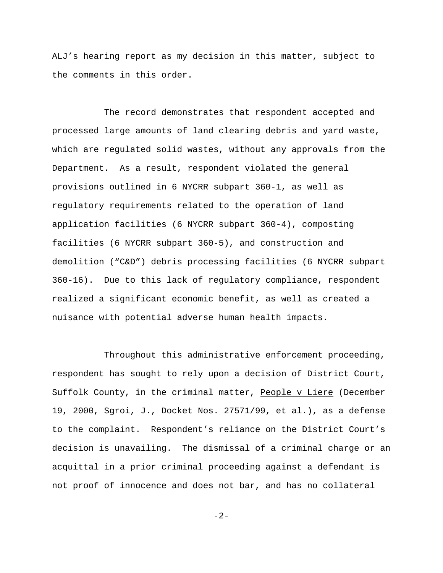ALJ's hearing report as my decision in this matter, subject to the comments in this order.

The record demonstrates that respondent accepted and processed large amounts of land clearing debris and yard waste, which are regulated solid wastes, without any approvals from the Department. As a result, respondent violated the general provisions outlined in 6 NYCRR subpart 360-1, as well as regulatory requirements related to the operation of land application facilities (6 NYCRR subpart 360-4), composting facilities (6 NYCRR subpart 360-5), and construction and demolition ("C&D") debris processing facilities (6 NYCRR subpart 360-16). Due to this lack of regulatory compliance, respondent realized a significant economic benefit, as well as created a nuisance with potential adverse human health impacts.

Throughout this administrative enforcement proceeding, respondent has sought to rely upon a decision of District Court, Suffolk County, in the criminal matter, People v Liere (December 19, 2000, Sgroi, J., Docket Nos. 27571/99, et al.), as a defense to the complaint. Respondent's reliance on the District Court's decision is unavailing. The dismissal of a criminal charge or an acquittal in a prior criminal proceeding against a defendant is not proof of innocence and does not bar, and has no collateral

 $-2-$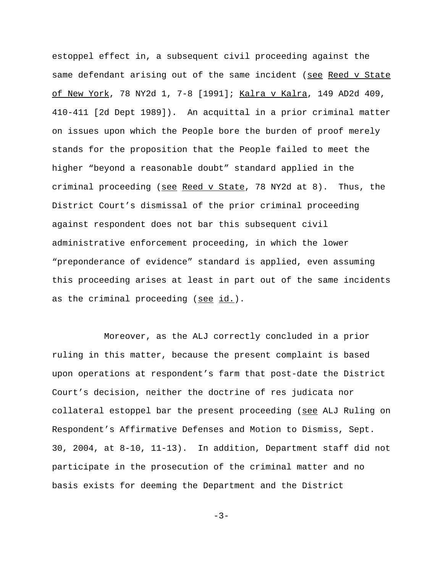estoppel effect in, a subsequent civil proceeding against the same defendant arising out of the same incident (see Reed v State of New York, 78 NY2d 1, 7-8 [1991]; Kalra v Kalra, 149 AD2d 409, 410-411 [2d Dept 1989]). An acquittal in a prior criminal matter on issues upon which the People bore the burden of proof merely stands for the proposition that the People failed to meet the higher "beyond a reasonable doubt" standard applied in the criminal proceeding (see Reed v State, 78 NY2d at 8). Thus, the District Court's dismissal of the prior criminal proceeding against respondent does not bar this subsequent civil administrative enforcement proceeding, in which the lower "preponderance of evidence" standard is applied, even assuming this proceeding arises at least in part out of the same incidents as the criminal proceeding (see id.).

Moreover, as the ALJ correctly concluded in a prior ruling in this matter, because the present complaint is based upon operations at respondent's farm that post-date the District Court's decision, neither the doctrine of res judicata nor collateral estoppel bar the present proceeding (see ALJ Ruling on Respondent's Affirmative Defenses and Motion to Dismiss, Sept. 30, 2004, at 8-10, 11-13). In addition, Department staff did not participate in the prosecution of the criminal matter and no basis exists for deeming the Department and the District

 $-3-$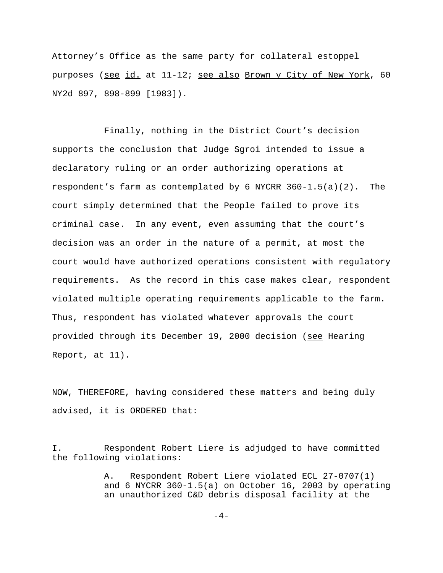Attorney's Office as the same party for collateral estoppel purposes (see id. at 11-12; see also Brown v City of New York, 60 NY2d 897, 898-899 [1983]).

Finally, nothing in the District Court's decision supports the conclusion that Judge Sgroi intended to issue a declaratory ruling or an order authorizing operations at respondent's farm as contemplated by 6 NYCRR 360-1.5(a)(2). The court simply determined that the People failed to prove its criminal case. In any event, even assuming that the court's decision was an order in the nature of a permit, at most the court would have authorized operations consistent with regulatory requirements. As the record in this case makes clear, respondent violated multiple operating requirements applicable to the farm. Thus, respondent has violated whatever approvals the court provided through its December 19, 2000 decision (see Hearing Report, at 11).

NOW, THEREFORE, having considered these matters and being duly advised, it is ORDERED that:

I. Respondent Robert Liere is adjudged to have committed the following violations:

> A. Respondent Robert Liere violated ECL 27-0707(1) and 6 NYCRR 360-1.5(a) on October 16, 2003 by operating an unauthorized C&D debris disposal facility at the

> > $-4-$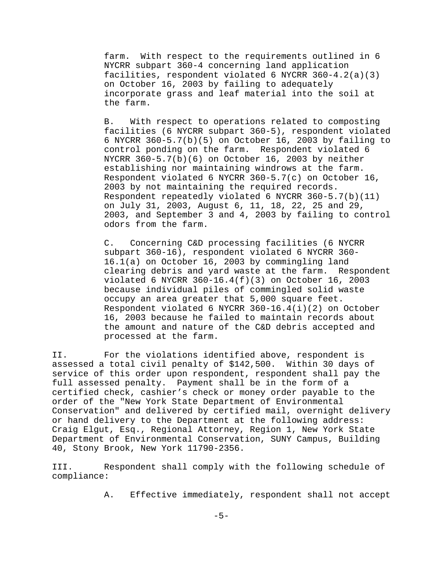farm. With respect to the requirements outlined in 6 NYCRR subpart 360-4 concerning land application facilities, respondent violated 6 NYCRR 360-4.2(a)(3) on October 16, 2003 by failing to adequately incorporate grass and leaf material into the soil at the farm.

B. With respect to operations related to composting facilities (6 NYCRR subpart 360-5), respondent violated 6 NYCRR 360-5.7(b)(5) on October 16, 2003 by failing to control ponding on the farm. Respondent violated 6 NYCRR 360-5.7(b)(6) on October 16, 2003 by neither establishing nor maintaining windrows at the farm. Respondent violated 6 NYCRR 360-5.7(c) on October 16, 2003 by not maintaining the required records. Respondent repeatedly violated 6 NYCRR 360-5.7(b)(11) on July 31, 2003, August 6, 11, 18, 22, 25 and 29, 2003, and September 3 and 4, 2003 by failing to control odors from the farm.

C. Concerning C&D processing facilities (6 NYCRR subpart 360-16), respondent violated 6 NYCRR 360- 16.1(a) on October 16, 2003 by commingling land clearing debris and yard waste at the farm. Respondent violated 6 NYCRR  $360 - 16.4(f)(3)$  on October 16, 2003 because individual piles of commingled solid waste occupy an area greater that 5,000 square feet. Respondent violated 6 NYCRR 360-16.4(i)(2) on October 16, 2003 because he failed to maintain records about the amount and nature of the C&D debris accepted and processed at the farm.

II. For the violations identified above, respondent is assessed a total civil penalty of \$142,500. Within 30 days of service of this order upon respondent, respondent shall pay the full assessed penalty. Payment shall be in the form of a certified check, cashier's check or money order payable to the order of the "New York State Department of Environmental Conservation" and delivered by certified mail, overnight delivery or hand delivery to the Department at the following address: Craig Elgut, Esq., Regional Attorney, Region 1, New York State Department of Environmental Conservation, SUNY Campus, Building 40, Stony Brook, New York 11790-2356.

III. Respondent shall comply with the following schedule of compliance:

A. Effective immediately, respondent shall not accept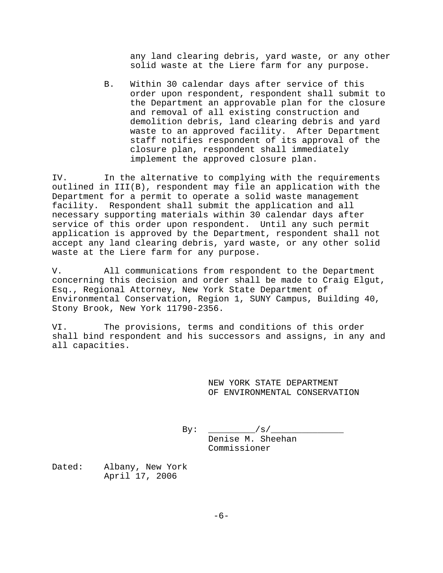any land clearing debris, yard waste, or any other solid waste at the Liere farm for any purpose.

B. Within 30 calendar days after service of this order upon respondent, respondent shall submit to the Department an approvable plan for the closure and removal of all existing construction and demolition debris, land clearing debris and yard waste to an approved facility. After Department staff notifies respondent of its approval of the closure plan, respondent shall immediately implement the approved closure plan.

IV. In the alternative to complying with the requirements outlined in III(B), respondent may file an application with the Department for a permit to operate a solid waste management facility. Respondent shall submit the application and all necessary supporting materials within 30 calendar days after service of this order upon respondent. Until any such permit application is approved by the Department, respondent shall not accept any land clearing debris, yard waste, or any other solid waste at the Liere farm for any purpose.

V. All communications from respondent to the Department concerning this decision and order shall be made to Craig Elgut, Esq., Regional Attorney, New York State Department of Environmental Conservation, Region 1, SUNY Campus, Building 40, Stony Brook, New York 11790-2356.

VI. The provisions, terms and conditions of this order shall bind respondent and his successors and assigns, in any and all capacities.

> NEW YORK STATE DEPARTMENT OF ENVIRONMENTAL CONSERVATION

 $By: \t _{y/2} = 1$ Denise M. Sheehan Commissioner

Dated: Albany, New York April 17, 2006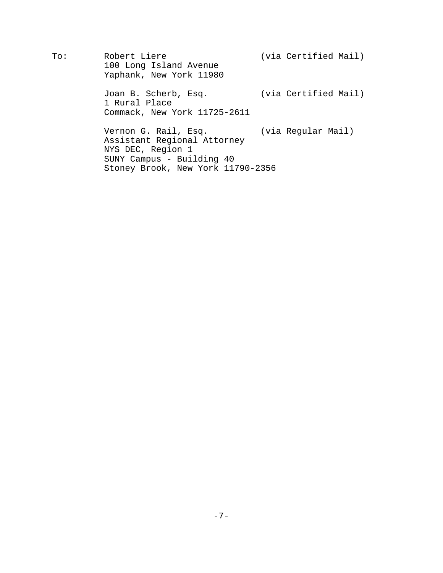To: Robert Liere (via Certified Mail) 100 Long Island Avenue Yaphank, New York 11980 Joan B. Scherb, Esq. (via Certified Mail) 1 Rural Place Commack, New York 11725-2611 Vernon G. Rail, Esq. (via Regular Mail) Assistant Regional Attorney NYS DEC, Region 1 SUNY Campus - Building 40 Stoney Brook, New York 11790-2356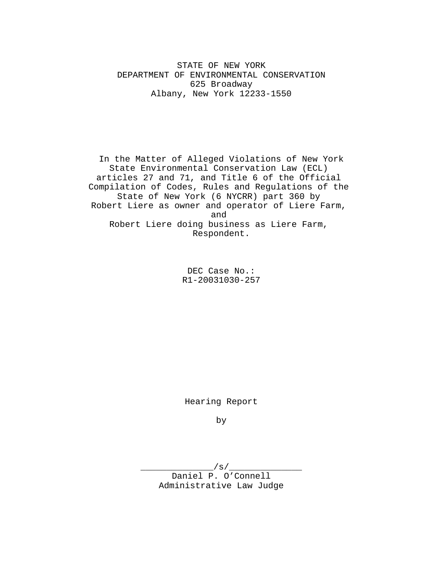STATE OF NEW YORK DEPARTMENT OF ENVIRONMENTAL CONSERVATION 625 Broadway Albany, New York 12233-1550

In the Matter of Alleged Violations of New York State Environmental Conservation Law (ECL) articles 27 and 71, and Title 6 of the Official Compilation of Codes, Rules and Regulations of the State of New York (6 NYCRR) part 360 by Robert Liere as owner and operator of Liere Farm, and Robert Liere doing business as Liere Farm, Respondent.

> DEC Case No.: R1-20031030-257

Hearing Report

by

\_\_\_\_\_\_\_\_/ s / \_\_\_\_\_\_ Daniel P. O'Connell Administrative Law Judge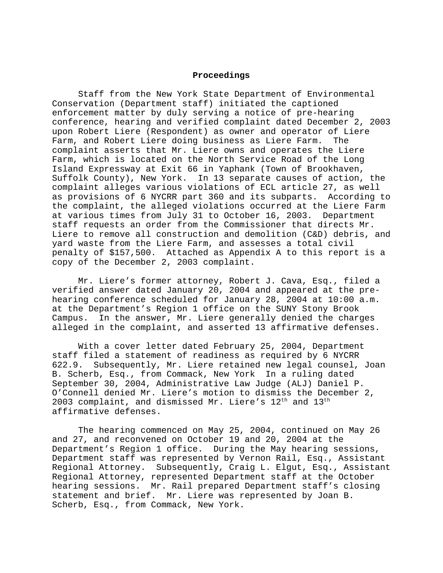### **Proceedings**

Staff from the New York State Department of Environmental Conservation (Department staff) initiated the captioned enforcement matter by duly serving a notice of pre-hearing conference, hearing and verified complaint dated December 2, 2003 upon Robert Liere (Respondent) as owner and operator of Liere Farm, and Robert Liere doing business as Liere Farm. The complaint asserts that Mr. Liere owns and operates the Liere Farm, which is located on the North Service Road of the Long Island Expressway at Exit 66 in Yaphank (Town of Brookhaven, Suffolk County), New York. In 13 separate causes of action, the complaint alleges various violations of ECL article 27, as well as provisions of 6 NYCRR part 360 and its subparts. According to the complaint, the alleged violations occurred at the Liere Farm at various times from July 31 to October 16, 2003. Department staff requests an order from the Commissioner that directs Mr. Liere to remove all construction and demolition (C&D) debris, and yard waste from the Liere Farm, and assesses a total civil penalty of \$157,500. Attached as Appendix A to this report is a copy of the December 2, 2003 complaint.

Mr. Liere's former attorney, Robert J. Cava, Esq., filed a verified answer dated January 20, 2004 and appeared at the prehearing conference scheduled for January 28, 2004 at 10:00 a.m. at the Department's Region 1 office on the SUNY Stony Brook Campus. In the answer, Mr. Liere generally denied the charges alleged in the complaint, and asserted 13 affirmative defenses.

With a cover letter dated February 25, 2004, Department staff filed a statement of readiness as required by 6 NYCRR 622.9. Subsequently, Mr. Liere retained new legal counsel, Joan B. Scherb, Esq., from Commack, New York In a ruling dated September 30, 2004, Administrative Law Judge (ALJ) Daniel P. O'Connell denied Mr. Liere's motion to dismiss the December 2, 2003 complaint, and dismissed Mr. Liere's 12<sup>th</sup> and 13<sup>th</sup> affirmative defenses.

The hearing commenced on May 25, 2004, continued on May 26 and 27, and reconvened on October 19 and 20, 2004 at the Department's Region 1 office. During the May hearing sessions, Department staff was represented by Vernon Rail, Esq., Assistant Regional Attorney. Subsequently, Craig L. Elgut, Esq., Assistant Regional Attorney, represented Department staff at the October hearing sessions. Mr. Rail prepared Department staff's closing statement and brief. Mr. Liere was represented by Joan B. Scherb, Esq., from Commack, New York.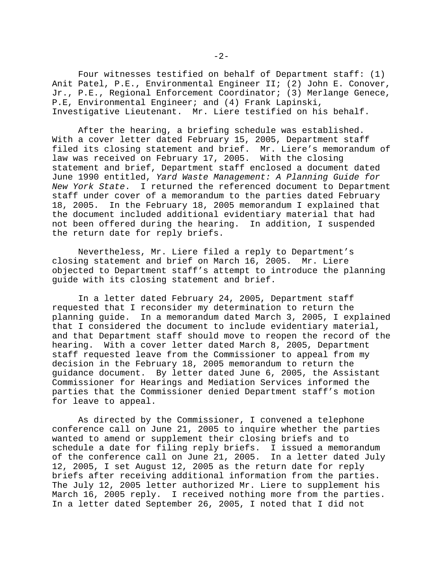Four witnesses testified on behalf of Department staff: (1) Anit Patel, P.E., Environmental Engineer II; (2) John E. Conover, Jr., P.E., Regional Enforcement Coordinator; (3) Merlange Genece, P.E, Environmental Engineer; and (4) Frank Lapinski, Investigative Lieutenant. Mr. Liere testified on his behalf.

After the hearing, a briefing schedule was established. With a cover letter dated February 15, 2005, Department staff filed its closing statement and brief. Mr. Liere's memorandum of law was received on February 17, 2005. With the closing statement and brief, Department staff enclosed a document dated June 1990 entitled, *Yard Waste Management: A Planning Guide for New York State*. I returned the referenced document to Department staff under cover of a memorandum to the parties dated February 18, 2005. In the February 18, 2005 memorandum I explained that the document included additional evidentiary material that had not been offered during the hearing. In addition, I suspended the return date for reply briefs.

Nevertheless, Mr. Liere filed a reply to Department's closing statement and brief on March 16, 2005. Mr. Liere objected to Department staff's attempt to introduce the planning guide with its closing statement and brief.

In a letter dated February 24, 2005, Department staff requested that I reconsider my determination to return the planning guide. In a memorandum dated March 3, 2005, I explained that I considered the document to include evidentiary material, and that Department staff should move to reopen the record of the hearing. With a cover letter dated March 8, 2005, Department staff requested leave from the Commissioner to appeal from my decision in the February 18, 2005 memorandum to return the guidance document. By letter dated June 6, 2005, the Assistant Commissioner for Hearings and Mediation Services informed the parties that the Commissioner denied Department staff's motion for leave to appeal.

As directed by the Commissioner, I convened a telephone conference call on June 21, 2005 to inquire whether the parties wanted to amend or supplement their closing briefs and to schedule a date for filing reply briefs. I issued a memorandum of the conference call on June 21, 2005. In a letter dated July 12, 2005, I set August 12, 2005 as the return date for reply briefs after receiving additional information from the parties. The July 12, 2005 letter authorized Mr. Liere to supplement his March 16, 2005 reply. I received nothing more from the parties. In a letter dated September 26, 2005, I noted that I did not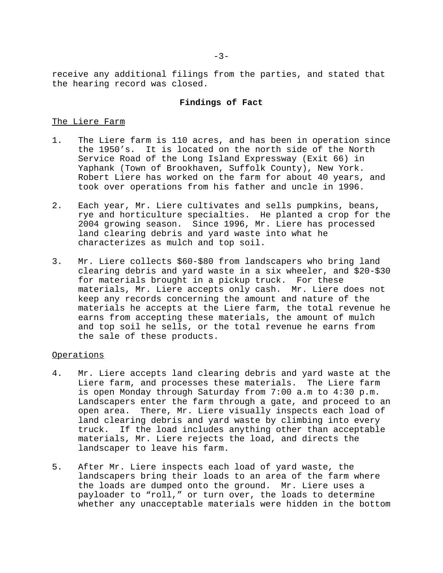receive any additional filings from the parties, and stated that the hearing record was closed.

#### **Findings of Fact**

### The Liere Farm

- 1. The Liere farm is 110 acres, and has been in operation since the 1950's. It is located on the north side of the North Service Road of the Long Island Expressway (Exit 66) in Yaphank (Town of Brookhaven, Suffolk County), New York. Robert Liere has worked on the farm for about 40 years, and took over operations from his father and uncle in 1996.
- 2. Each year, Mr. Liere cultivates and sells pumpkins, beans, rye and horticulture specialties. He planted a crop for the 2004 growing season. Since 1996, Mr. Liere has processed land clearing debris and yard waste into what he characterizes as mulch and top soil.
- 3. Mr. Liere collects \$60-\$80 from landscapers who bring land clearing debris and yard waste in a six wheeler, and \$20-\$30 for materials brought in a pickup truck. For these materials, Mr. Liere accepts only cash. Mr. Liere does not keep any records concerning the amount and nature of the materials he accepts at the Liere farm, the total revenue he earns from accepting these materials, the amount of mulch and top soil he sells, or the total revenue he earns from the sale of these products.

### Operations

- 4. Mr. Liere accepts land clearing debris and yard waste at the Liere farm, and processes these materials. The Liere farm is open Monday through Saturday from 7:00 a.m to 4:30 p.m. Landscapers enter the farm through a gate, and proceed to an open area. There, Mr. Liere visually inspects each load of land clearing debris and yard waste by climbing into every truck. If the load includes anything other than acceptable materials, Mr. Liere rejects the load, and directs the landscaper to leave his farm.
- 5. After Mr. Liere inspects each load of yard waste, the landscapers bring their loads to an area of the farm where the loads are dumped onto the ground. Mr. Liere uses a payloader to "roll," or turn over, the loads to determine whether any unacceptable materials were hidden in the bottom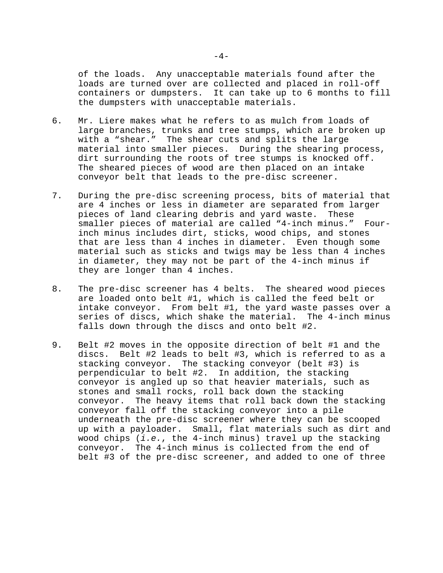of the loads. Any unacceptable materials found after the loads are turned over are collected and placed in roll-off containers or dumpsters. It can take up to 6 months to fill the dumpsters with unacceptable materials.

- 6. Mr. Liere makes what he refers to as mulch from loads of large branches, trunks and tree stumps, which are broken up with a "shear." The shear cuts and splits the large material into smaller pieces. During the shearing process, dirt surrounding the roots of tree stumps is knocked off. The sheared pieces of wood are then placed on an intake conveyor belt that leads to the pre-disc screener.
- 7. During the pre-disc screening process, bits of material that are 4 inches or less in diameter are separated from larger pieces of land clearing debris and yard waste. These smaller pieces of material are called "4-inch minus." Fourinch minus includes dirt, sticks, wood chips, and stones that are less than 4 inches in diameter. Even though some material such as sticks and twigs may be less than 4 inches in diameter, they may not be part of the 4-inch minus if they are longer than 4 inches.
- 8. The pre-disc screener has 4 belts. The sheared wood pieces are loaded onto belt #1, which is called the feed belt or intake conveyor. From belt #1, the yard waste passes over a series of discs, which shake the material. The 4-inch minus falls down through the discs and onto belt #2.
- 9. Belt #2 moves in the opposite direction of belt #1 and the discs. Belt #2 leads to belt #3, which is referred to as a stacking conveyor. The stacking conveyor (belt #3) is perpendicular to belt #2. In addition, the stacking conveyor is angled up so that heavier materials, such as stones and small rocks, roll back down the stacking conveyor. The heavy items that roll back down the stacking conveyor fall off the stacking conveyor into a pile underneath the pre-disc screener where they can be scooped up with a payloader. Small, flat materials such as dirt and wood chips (*i.e.*, the 4-inch minus) travel up the stacking conveyor. The 4-inch minus is collected from the end of belt #3 of the pre-disc screener, and added to one of three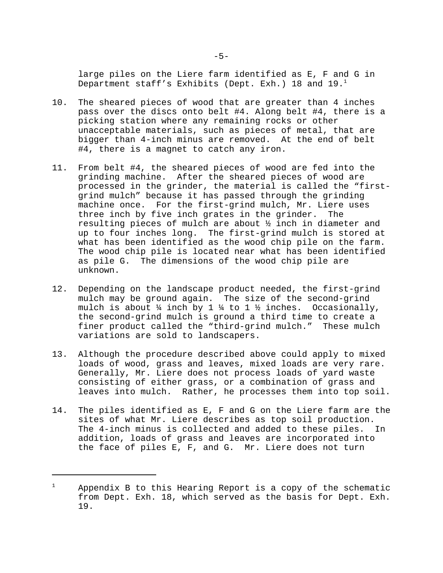large piles on the Liere farm identified as E, F and G in Department staff's Exhibits (Dept. Exh.) 18 and  $19.1$ 

- 10. The sheared pieces of wood that are greater than 4 inches pass over the discs onto belt #4. Along belt #4, there is a picking station where any remaining rocks or other unacceptable materials, such as pieces of metal, that are bigger than 4-inch minus are removed. At the end of belt #4, there is a magnet to catch any iron.
- 11. From belt #4, the sheared pieces of wood are fed into the grinding machine. After the sheared pieces of wood are processed in the grinder, the material is called the "firstgrind mulch" because it has passed through the grinding machine once. For the first-grind mulch, Mr. Liere uses three inch by five inch grates in the grinder. The resulting pieces of mulch are about ½ inch in diameter and up to four inches long. The first-grind mulch is stored at what has been identified as the wood chip pile on the farm. The wood chip pile is located near what has been identified as pile G. The dimensions of the wood chip pile are unknown.
- 12. Depending on the landscape product needed, the first-grind mulch may be ground again. The size of the second-grind mulch is about  $\frac{1}{4}$  inch by 1  $\frac{1}{4}$  to 1  $\frac{1}{2}$  inches. Occasionally, the second-grind mulch is ground a third time to create a finer product called the "third-grind mulch." These mulch variations are sold to landscapers.
- 13. Although the procedure described above could apply to mixed loads of wood, grass and leaves, mixed loads are very rare. Generally, Mr. Liere does not process loads of yard waste consisting of either grass, or a combination of grass and leaves into mulch. Rather, he processes them into top soil.
- 14. The piles identified as E, F and G on the Liere farm are the sites of what Mr. Liere describes as top soil production. The 4-inch minus is collected and added to these piles. In addition, loads of grass and leaves are incorporated into the face of piles E, F, and G. Mr. Liere does not turn

 $1$  Appendix B to this Hearing Report is a copy of the schematic from Dept. Exh. 18, which served as the basis for Dept. Exh. 19.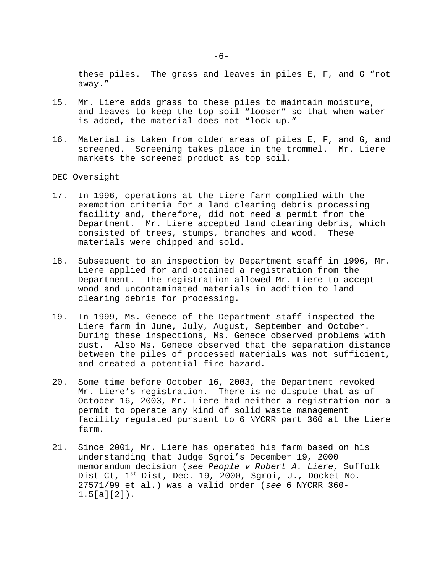these piles. The grass and leaves in piles E, F, and G "rot away."

- 15. Mr. Liere adds grass to these piles to maintain moisture, and leaves to keep the top soil "looser" so that when water is added, the material does not "lock up."
- 16. Material is taken from older areas of piles E, F, and G, and screened. Screening takes place in the trommel. Mr. Liere markets the screened product as top soil.

#### DEC Oversight

- 17. In 1996, operations at the Liere farm complied with the exemption criteria for a land clearing debris processing facility and, therefore, did not need a permit from the Department. Mr. Liere accepted land clearing debris, which consisted of trees, stumps, branches and wood. These materials were chipped and sold.
- 18. Subsequent to an inspection by Department staff in 1996, Mr. Liere applied for and obtained a registration from the Department. The registration allowed Mr. Liere to accept wood and uncontaminated materials in addition to land clearing debris for processing.
- 19. In 1999, Ms. Genece of the Department staff inspected the Liere farm in June, July, August, September and October. During these inspections, Ms. Genece observed problems with dust. Also Ms. Genece observed that the separation distance between the piles of processed materials was not sufficient, and created a potential fire hazard.
- 20. Some time before October 16, 2003, the Department revoked Mr. Liere's registration. There is no dispute that as of October 16, 2003, Mr. Liere had neither a registration nor a permit to operate any kind of solid waste management facility regulated pursuant to 6 NYCRR part 360 at the Liere farm.
- 21. Since 2001, Mr. Liere has operated his farm based on his understanding that Judge Sgroi's December 19, 2000 memorandum decision (*see People v Robert A. Liere*, Suffolk Dist Ct,  $1^{st}$  Dist, Dec. 19, 2000, Sgroi, J., Docket No. 27571/99 et al.) was a valid order (*see* 6 NYCRR 360- 1.5[a][2]).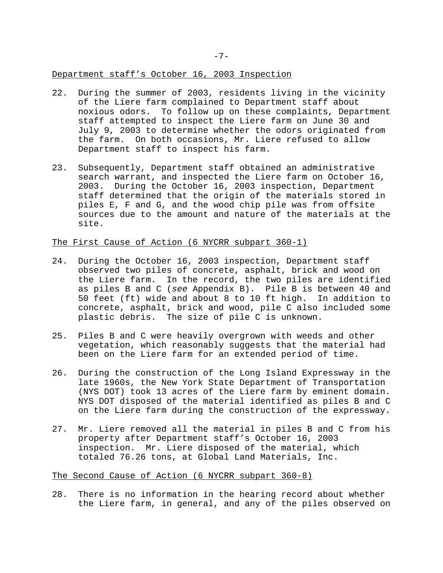#### Department staff's October 16, 2003 Inspection

- 22. During the summer of 2003, residents living in the vicinity of the Liere farm complained to Department staff about noxious odors. To follow up on these complaints, Department staff attempted to inspect the Liere farm on June 30 and July 9, 2003 to determine whether the odors originated from the farm. On both occasions, Mr. Liere refused to allow Department staff to inspect his farm.
- 23. Subsequently, Department staff obtained an administrative search warrant, and inspected the Liere farm on October 16, 2003. During the October 16, 2003 inspection, Department staff determined that the origin of the materials stored in piles E, F and G, and the wood chip pile was from offsite sources due to the amount and nature of the materials at the site.

### The First Cause of Action (6 NYCRR subpart 360-1)

- 24. During the October 16, 2003 inspection, Department staff observed two piles of concrete, asphalt, brick and wood on the Liere farm. In the record, the two piles are identified as piles B and C (*see* Appendix B). Pile B is between 40 and 50 feet (ft) wide and about 8 to 10 ft high. In addition to concrete, asphalt, brick and wood, pile C also included some plastic debris. The size of pile C is unknown.
- 25. Piles B and C were heavily overgrown with weeds and other vegetation, which reasonably suggests that the material had been on the Liere farm for an extended period of time.
- 26. During the construction of the Long Island Expressway in the late 1960s, the New York State Department of Transportation (NYS DOT) took 13 acres of the Liere farm by eminent domain. NYS DOT disposed of the material identified as piles B and C on the Liere farm during the construction of the expressway.
- 27. Mr. Liere removed all the material in piles B and C from his property after Department staff's October 16, 2003 inspection. Mr. Liere disposed of the material, which totaled 76.26 tons, at Global Land Materials, Inc.

### The Second Cause of Action (6 NYCRR subpart 360-8)

28. There is no information in the hearing record about whether the Liere farm, in general, and any of the piles observed on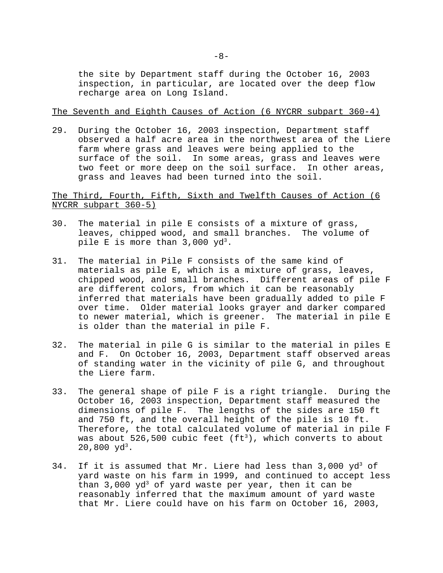the site by Department staff during the October 16, 2003 inspection, in particular, are located over the deep flow recharge area on Long Island.

The Seventh and Eighth Causes of Action (6 NYCRR subpart 360-4)

29. During the October 16, 2003 inspection, Department staff observed a half acre area in the northwest area of the Liere farm where grass and leaves were being applied to the surface of the soil. In some areas, grass and leaves were two feet or more deep on the soil surface. In other areas, grass and leaves had been turned into the soil.

The Third, Fourth, Fifth, Sixth and Twelfth Causes of Action (6 NYCRR subpart 360-5)

- 30. The material in pile E consists of a mixture of grass, leaves, chipped wood, and small branches. The volume of pile E is more than  $3,000 \text{ yd}^3$ .
- 31. The material in Pile F consists of the same kind of materials as pile E, which is a mixture of grass, leaves, chipped wood, and small branches. Different areas of pile F are different colors, from which it can be reasonably inferred that materials have been gradually added to pile F over time. Older material looks grayer and darker compared to newer material, which is greener. The material in pile E is older than the material in pile F.
- 32. The material in pile G is similar to the material in piles E and F. On October 16, 2003, Department staff observed areas of standing water in the vicinity of pile G, and throughout the Liere farm.
- 33. The general shape of pile F is a right triangle. During the October 16, 2003 inspection, Department staff measured the dimensions of pile F. The lengths of the sides are 150 ft and 750 ft, and the overall height of the pile is 10 ft. Therefore, the total calculated volume of material in pile F was about 526,500 cubic feet ( $ft<sup>3</sup>$ ), which converts to about 20,800  $yd^3$ .
- 34. If it is assumed that Mr. Liere had less than  $3,000 \text{ yd}^3$  of yard waste on his farm in 1999, and continued to accept less than  $3,000 \text{ yd}^3$  of yard waste per year, then it can be reasonably inferred that the maximum amount of yard waste that Mr. Liere could have on his farm on October 16, 2003,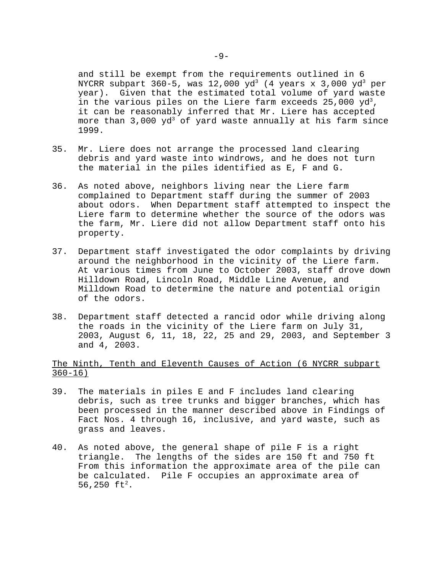and still be exempt from the requirements outlined in 6 NYCRR subpart 360-5, was  $12,000\,$   $\rm{yd^3}$  (4  $\rm{years}$  x 3,000  $\rm{yd^3}$   $\rm{per}$ year). Given that the estimated total volume of yard waste in the various piles on the Liere farm exceeds  $25,000 \text{ yd}^3$ , it can be reasonably inferred that Mr. Liere has accepted more than  $3,000 \text{ yd}^3$  of yard waste annually at his farm since 1999.

- 35. Mr. Liere does not arrange the processed land clearing debris and yard waste into windrows, and he does not turn the material in the piles identified as E, F and G.
- 36. As noted above, neighbors living near the Liere farm complained to Department staff during the summer of 2003 about odors. When Department staff attempted to inspect the Liere farm to determine whether the source of the odors was the farm, Mr. Liere did not allow Department staff onto his property.
- 37. Department staff investigated the odor complaints by driving around the neighborhood in the vicinity of the Liere farm. At various times from June to October 2003, staff drove down Hilldown Road, Lincoln Road, Middle Line Avenue, and Milldown Road to determine the nature and potential origin of the odors.
- 38. Department staff detected a rancid odor while driving along the roads in the vicinity of the Liere farm on July 31, 2003, August 6, 11, 18, 22, 25 and 29, 2003, and September 3 and 4, 2003.

# The Ninth, Tenth and Eleventh Causes of Action (6 NYCRR subpart  $360 - 16$

- 39. The materials in piles E and F includes land clearing debris, such as tree trunks and bigger branches, which has been processed in the manner described above in Findings of Fact Nos. 4 through 16, inclusive, and yard waste, such as grass and leaves.
- 40. As noted above, the general shape of pile F is a right triangle. The lengths of the sides are 150 ft and 750 ft From this information the approximate area of the pile can be calculated. Pile F occupies an approximate area of 56,250  $ft^2$ .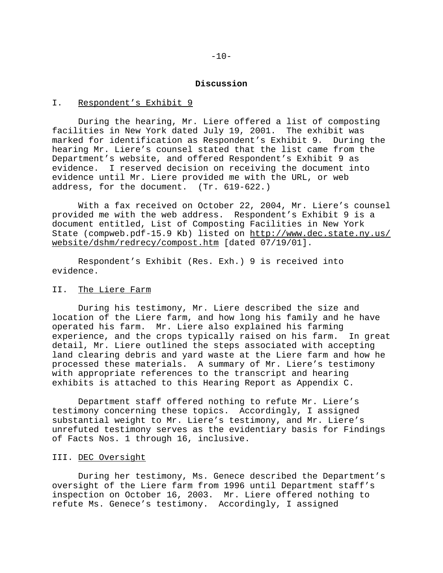#### **Discussion**

### I. Respondent's Exhibit 9

During the hearing, Mr. Liere offered a list of composting facilities in New York dated July 19, 2001. The exhibit was marked for identification as Respondent's Exhibit 9. During the hearing Mr. Liere's counsel stated that the list came from the Department's website, and offered Respondent's Exhibit 9 as evidence. I reserved decision on receiving the document into evidence until Mr. Liere provided me with the URL, or web address, for the document. (Tr. 619-622.)

With a fax received on October 22, 2004, Mr. Liere's counsel provided me with the web address. Respondent's Exhibit 9 is a document entitled, List of Composting Facilities in New York State (compweb.pdf-15.9 Kb) listed on http://www.dec.state.ny.us/ website/dshm/redrecy/compost.htm [dated 07/19/01].

Respondent's Exhibit (Res. Exh.) 9 is received into evidence.

### II. The Liere Farm

During his testimony, Mr. Liere described the size and location of the Liere farm, and how long his family and he have operated his farm. Mr. Liere also explained his farming experience, and the crops typically raised on his farm. In great detail, Mr. Liere outlined the steps associated with accepting land clearing debris and yard waste at the Liere farm and how he processed these materials. A summary of Mr. Liere's testimony with appropriate references to the transcript and hearing exhibits is attached to this Hearing Report as Appendix C.

Department staff offered nothing to refute Mr. Liere's testimony concerning these topics. Accordingly, I assigned substantial weight to Mr. Liere's testimony, and Mr. Liere's unrefuted testimony serves as the evidentiary basis for Findings of Facts Nos. 1 through 16, inclusive.

## III. DEC Oversight

During her testimony, Ms. Genece described the Department's oversight of the Liere farm from 1996 until Department staff's inspection on October 16, 2003. Mr. Liere offered nothing to refute Ms. Genece's testimony. Accordingly, I assigned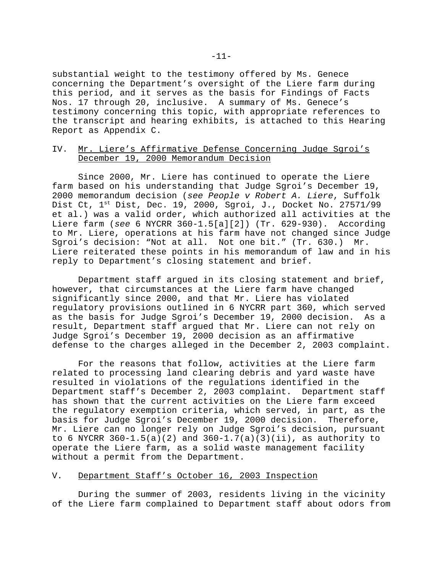substantial weight to the testimony offered by Ms. Genece concerning the Department's oversight of the Liere farm during this period, and it serves as the basis for Findings of Facts Nos. 17 through 20, inclusive. A summary of Ms. Genece's testimony concerning this topic, with appropriate references to the transcript and hearing exhibits, is attached to this Hearing Report as Appendix C.

### IV. Mr. Liere's Affirmative Defense Concerning Judge Sgroi's December 19, 2000 Memorandum Decision

Since 2000, Mr. Liere has continued to operate the Liere farm based on his understanding that Judge Sgroi's December 19, 2000 memorandum decision (*see People v Robert A. Liere*, Suffolk Dist Ct, 1<sup>st</sup> Dist, Dec. 19, 2000, Sgroi, J., Docket No. 27571/99 et al.) was a valid order, which authorized all activities at the Liere farm (*see* 6 NYCRR 360-1.5[a][2]) (Tr. 629-930). According to Mr. Liere, operations at his farm have not changed since Judge Sgroi's decision: "Not at all. Not one bit." (Tr. 630.) Mr. Liere reiterated these points in his memorandum of law and in his reply to Department's closing statement and brief.

Department staff argued in its closing statement and brief, however, that circumstances at the Liere farm have changed significantly since 2000, and that Mr. Liere has violated regulatory provisions outlined in 6 NYCRR part 360, which served as the basis for Judge Sgroi's December 19, 2000 decision. As a result, Department staff argued that Mr. Liere can not rely on Judge Sgroi's December 19, 2000 decision as an affirmative defense to the charges alleged in the December 2, 2003 complaint.

For the reasons that follow, activities at the Liere farm related to processing land clearing debris and yard waste have resulted in violations of the regulations identified in the Department staff's December 2, 2003 complaint. Department staff has shown that the current activities on the Liere farm exceed the regulatory exemption criteria, which served, in part, as the basis for Judge Sgroi's December 19, 2000 decision. Therefore, Mr. Liere can no longer rely on Judge Sgroi's decision, pursuant to 6 NYCRR  $360-1.5(a)(2)$  and  $360-1.7(a)(3)(ii)$ , as authority to operate the Liere farm, as a solid waste management facility without a permit from the Department.

### V. Department Staff's October 16, 2003 Inspection

During the summer of 2003, residents living in the vicinity of the Liere farm complained to Department staff about odors from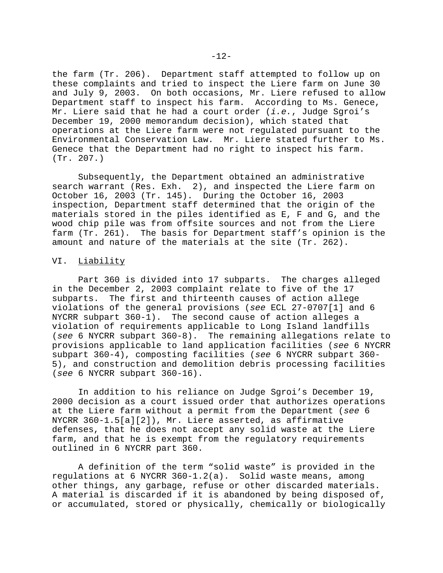the farm (Tr. 206). Department staff attempted to follow up on these complaints and tried to inspect the Liere farm on June 30 and July 9, 2003. On both occasions, Mr. Liere refused to allow Department staff to inspect his farm. According to Ms. Genece, Mr. Liere said that he had a court order (*i.e.*, Judge Sgroi's December 19, 2000 memorandum decision), which stated that operations at the Liere farm were not regulated pursuant to the Environmental Conservation Law. Mr. Liere stated further to Ms. Genece that the Department had no right to inspect his farm. (Tr. 207.)

Subsequently, the Department obtained an administrative search warrant (Res. Exh. 2), and inspected the Liere farm on October 16, 2003 (Tr. 145). During the October 16, 2003 inspection, Department staff determined that the origin of the materials stored in the piles identified as E, F and G, and the wood chip pile was from offsite sources and not from the Liere farm (Tr. 261). The basis for Department staff's opinion is the amount and nature of the materials at the site (Tr. 262).

#### VI. Liability

Part 360 is divided into 17 subparts. The charges alleged in the December 2, 2003 complaint relate to five of the 17 subparts. The first and thirteenth causes of action allege violations of the general provisions (*see* ECL 27-0707[1] and 6 NYCRR subpart 360-1). The second cause of action alleges a violation of requirements applicable to Long Island landfills (*see* 6 NYCRR subpart 360-8). The remaining allegations relate to provisions applicable to land application facilities (*see* 6 NYCRR subpart 360-4), composting facilities (*see* 6 NYCRR subpart 360- 5), and construction and demolition debris processing facilities (*see* 6 NYCRR subpart 360-16).

In addition to his reliance on Judge Sgroi's December 19, 2000 decision as a court issued order that authorizes operations at the Liere farm without a permit from the Department (*see* 6 NYCRR 360-1.5[a][2]), Mr. Liere asserted, as affirmative defenses, that he does not accept any solid waste at the Liere farm, and that he is exempt from the regulatory requirements outlined in 6 NYCRR part 360.

A definition of the term "solid waste" is provided in the regulations at 6 NYCRR 360-1.2(a). Solid waste means, among other things, any garbage, refuse or other discarded materials. A material is discarded if it is abandoned by being disposed of, or accumulated, stored or physically, chemically or biologically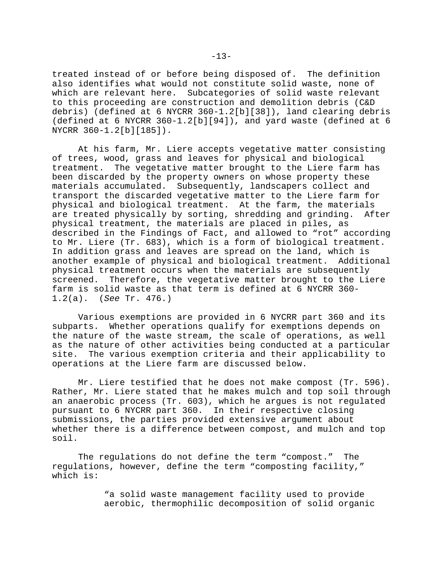treated instead of or before being disposed of. The definition also identifies what would not constitute solid waste, none of which are relevant here. Subcategories of solid waste relevant to this proceeding are construction and demolition debris (C&D debris) (defined at 6 NYCRR 360-1.2[b][38]), land clearing debris (defined at 6 NYCRR 360-1.2[b][94]), and yard waste (defined at 6 NYCRR 360-1.2[b][185]).

At his farm, Mr. Liere accepts vegetative matter consisting of trees, wood, grass and leaves for physical and biological treatment. The vegetative matter brought to the Liere farm has been discarded by the property owners on whose property these materials accumulated. Subsequently, landscapers collect and transport the discarded vegetative matter to the Liere farm for physical and biological treatment. At the farm, the materials are treated physically by sorting, shredding and grinding. After physical treatment, the materials are placed in piles, as described in the Findings of Fact, and allowed to "rot" according to Mr. Liere (Tr. 683), which is a form of biological treatment. In addition grass and leaves are spread on the land, which is another example of physical and biological treatment. Additional physical treatment occurs when the materials are subsequently screened. Therefore, the vegetative matter brought to the Liere farm is solid waste as that term is defined at 6 NYCRR 360- 1.2(a). (*See* Tr. 476.)

Various exemptions are provided in 6 NYCRR part 360 and its subparts. Whether operations qualify for exemptions depends on the nature of the waste stream, the scale of operations, as well as the nature of other activities being conducted at a particular site. The various exemption criteria and their applicability to operations at the Liere farm are discussed below.

Mr. Liere testified that he does not make compost (Tr. 596). Rather, Mr. Liere stated that he makes mulch and top soil through an anaerobic process (Tr. 603), which he argues is not regulated pursuant to 6 NYCRR part 360. In their respective closing submissions, the parties provided extensive argument about whether there is a difference between compost, and mulch and top soil.

The regulations do not define the term "compost." The regulations, however, define the term "composting facility," which is:

> "a solid waste management facility used to provide aerobic, thermophilic decomposition of solid organic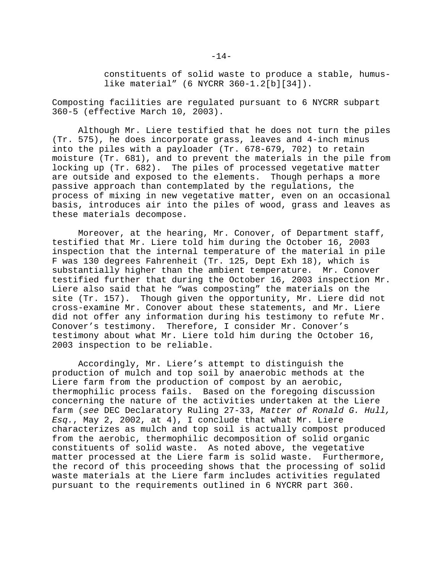constituents of solid waste to produce a stable, humuslike material" (6 NYCRR 360-1.2[b][34]).

Composting facilities are regulated pursuant to 6 NYCRR subpart 360-5 (effective March 10, 2003).

Although Mr. Liere testified that he does not turn the piles (Tr. 575), he does incorporate grass, leaves and 4-inch minus into the piles with a payloader (Tr. 678-679, 702) to retain moisture (Tr. 681), and to prevent the materials in the pile from locking up (Tr. 682). The piles of processed vegetative matter are outside and exposed to the elements. Though perhaps a more passive approach than contemplated by the regulations, the process of mixing in new vegetative matter, even on an occasional basis, introduces air into the piles of wood, grass and leaves as these materials decompose.

Moreover, at the hearing, Mr. Conover, of Department staff, testified that Mr. Liere told him during the October 16, 2003 inspection that the internal temperature of the material in pile F was 130 degrees Fahrenheit (Tr. 125, Dept Exh 18), which is substantially higher than the ambient temperature. Mr. Conover testified further that during the October 16, 2003 inspection Mr. Liere also said that he "was composting" the materials on the site (Tr. 157). Though given the opportunity, Mr. Liere did not cross-examine Mr. Conover about these statements, and Mr. Liere did not offer any information during his testimony to refute Mr. Conover's testimony. Therefore, I consider Mr. Conover's testimony about what Mr. Liere told him during the October 16, 2003 inspection to be reliable.

Accordingly, Mr. Liere's attempt to distinguish the production of mulch and top soil by anaerobic methods at the Liere farm from the production of compost by an aerobic, thermophilic process fails. Based on the foregoing discussion concerning the nature of the activities undertaken at the Liere farm (*see* DEC Declaratory Ruling 27-33, *Matter of Ronald G. Hull, Esq.*, May 2, 2002, at 4), I conclude that what Mr. Liere characterizes as mulch and top soil is actually compost produced from the aerobic, thermophilic decomposition of solid organic constituents of solid waste. As noted above, the vegetative matter processed at the Liere farm is solid waste. Furthermore, the record of this proceeding shows that the processing of solid waste materials at the Liere farm includes activities regulated pursuant to the requirements outlined in 6 NYCRR part 360.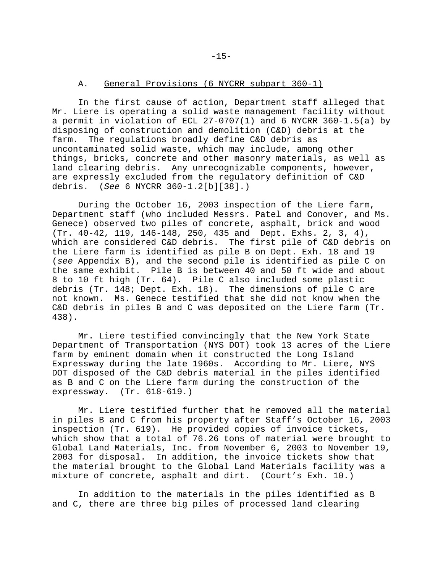### A. General Provisions (6 NYCRR subpart 360-1)

In the first cause of action, Department staff alleged that Mr. Liere is operating a solid waste management facility without a permit in violation of ECL 27-0707(1) and 6 NYCRR 360-1.5(a) by disposing of construction and demolition (C&D) debris at the farm. The regulations broadly define C&D debris as uncontaminated solid waste, which may include, among other things, bricks, concrete and other masonry materials, as well as land clearing debris. Any unrecognizable components, however, are expressly excluded from the regulatory definition of C&D debris. (*See* 6 NYCRR 360-1.2[b][38].)

During the October 16, 2003 inspection of the Liere farm, Department staff (who included Messrs. Patel and Conover, and Ms. Genece) observed two piles of concrete, asphalt, brick and wood (Tr. 40-42, 119, 146-148, 250, 435 and Dept. Exhs. 2, 3, 4), which are considered C&D debris. The first pile of C&D debris on the Liere farm is identified as pile B on Dept. Exh. 18 and 19 (*see* Appendix B), and the second pile is identified as pile C on the same exhibit. Pile B is between 40 and 50 ft wide and about 8 to 10 ft high (Tr. 64). Pile C also included some plastic debris (Tr. 148; Dept. Exh. 18). The dimensions of pile C are not known. Ms. Genece testified that she did not know when the C&D debris in piles B and C was deposited on the Liere farm (Tr. 438).

Mr. Liere testified convincingly that the New York State Department of Transportation (NYS DOT) took 13 acres of the Liere farm by eminent domain when it constructed the Long Island Expressway during the late 1960s. According to Mr. Liere, NYS DOT disposed of the C&D debris material in the piles identified as B and C on the Liere farm during the construction of the expressway. (Tr. 618-619.)

Mr. Liere testified further that he removed all the material in piles B and C from his property after Staff's October 16, 2003 inspection (Tr. 619). He provided copies of invoice tickets, which show that a total of 76.26 tons of material were brought to Global Land Materials, Inc. from November 6, 2003 to November 19, 2003 for disposal. In addition, the invoice tickets show that the material brought to the Global Land Materials facility was a mixture of concrete, asphalt and dirt. (Court's Exh. 10.)

In addition to the materials in the piles identified as B and C, there are three big piles of processed land clearing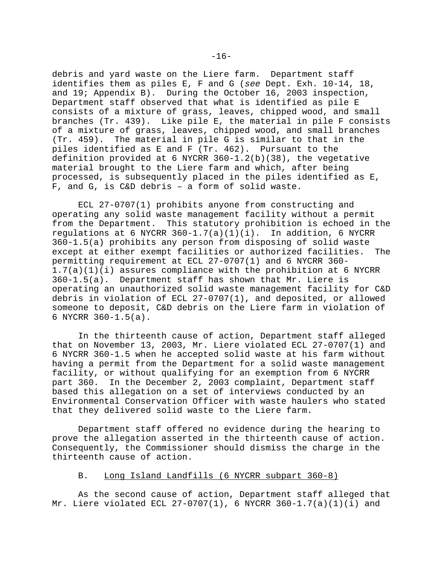debris and yard waste on the Liere farm. Department staff identifies them as piles E, F and G (*see* Dept. Exh. 10-14, 18, and 19; Appendix B). During the October 16, 2003 inspection, Department staff observed that what is identified as pile E consists of a mixture of grass, leaves, chipped wood, and small branches (Tr. 439). Like pile E, the material in pile F consists of a mixture of grass, leaves, chipped wood, and small branches (Tr. 459). The material in pile G is similar to that in the piles identified as E and F (Tr. 462). Pursuant to the definition provided at 6 NYCRR 360-1.2(b)(38), the vegetative material brought to the Liere farm and which, after being processed, is subsequently placed in the piles identified as E, F, and G, is C&D debris – a form of solid waste.

ECL 27-0707(1) prohibits anyone from constructing and operating any solid waste management facility without a permit from the Department. This statutory prohibition is echoed in the regulations at 6 NYCRR  $360-1.7(a)(1)(i)$ . In addition, 6 NYCRR 360-1.5(a) prohibits any person from disposing of solid waste except at either exempt facilities or authorized facilities. The permitting requirement at ECL 27-0707(1) and 6 NYCRR 360- 1.7(a)(1)(i) assures compliance with the prohibition at 6 NYCRR 360-1.5(a). Department staff has shown that Mr. Liere is operating an unauthorized solid waste management facility for C&D debris in violation of ECL 27-0707(1), and deposited, or allowed someone to deposit, C&D debris on the Liere farm in violation of 6 NYCRR 360-1.5(a).

In the thirteenth cause of action, Department staff alleged that on November 13, 2003, Mr. Liere violated ECL 27-0707(1) and 6 NYCRR 360-1.5 when he accepted solid waste at his farm without having a permit from the Department for a solid waste management facility, or without qualifying for an exemption from 6 NYCRR part 360. In the December 2, 2003 complaint, Department staff based this allegation on a set of interviews conducted by an Environmental Conservation Officer with waste haulers who stated that they delivered solid waste to the Liere farm.

Department staff offered no evidence during the hearing to prove the allegation asserted in the thirteenth cause of action. Consequently, the Commissioner should dismiss the charge in the thirteenth cause of action.

#### B. Long Island Landfills (6 NYCRR subpart 360-8)

As the second cause of action, Department staff alleged that Mr. Liere violated ECL 27-0707(1), 6 NYCRR 360-1.7(a)(1)(i) and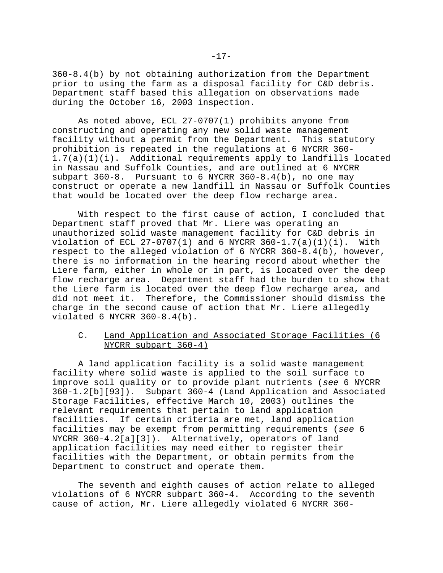360-8.4(b) by not obtaining authorization from the Department prior to using the farm as a disposal facility for C&D debris. Department staff based this allegation on observations made during the October 16, 2003 inspection.

As noted above, ECL 27-0707(1) prohibits anyone from constructing and operating any new solid waste management facility without a permit from the Department. This statutory prohibition is repeated in the regulations at 6 NYCRR 360- 1.7(a)(1)(i). Additional requirements apply to landfills located in Nassau and Suffolk Counties, and are outlined at 6 NYCRR subpart  $360-8$ . Pursuant to 6 NYCRR  $360-8.4$  (b), no one may construct or operate a new landfill in Nassau or Suffolk Counties that would be located over the deep flow recharge area.

With respect to the first cause of action, I concluded that Department staff proved that Mr. Liere was operating an unauthorized solid waste management facility for C&D debris in violation of ECL 27-0707(1) and 6 NYCRR 360-1.7(a)(1)(i). With respect to the alleged violation of 6 NYCRR 360-8.4(b), however, there is no information in the hearing record about whether the Liere farm, either in whole or in part, is located over the deep flow recharge area. Department staff had the burden to show that the Liere farm is located over the deep flow recharge area, and did not meet it. Therefore, the Commissioner should dismiss the charge in the second cause of action that Mr. Liere allegedly violated 6 NYCRR 360-8.4(b).

### C. Land Application and Associated Storage Facilities (6 NYCRR subpart 360-4)

A land application facility is a solid waste management facility where solid waste is applied to the soil surface to improve soil quality or to provide plant nutrients (*see* 6 NYCRR 360-1.2[b][93]). Subpart 360-4 (Land Application and Associated Storage Facilities, effective March 10, 2003) outlines the relevant requirements that pertain to land application facilities. If certain criteria are met, land application facilities may be exempt from permitting requirements (*see* 6 NYCRR 360-4.2[a][3]). Alternatively, operators of land application facilities may need either to register their facilities with the Department, or obtain permits from the Department to construct and operate them.

The seventh and eighth causes of action relate to alleged violations of 6 NYCRR subpart 360-4. According to the seventh cause of action, Mr. Liere allegedly violated 6 NYCRR 360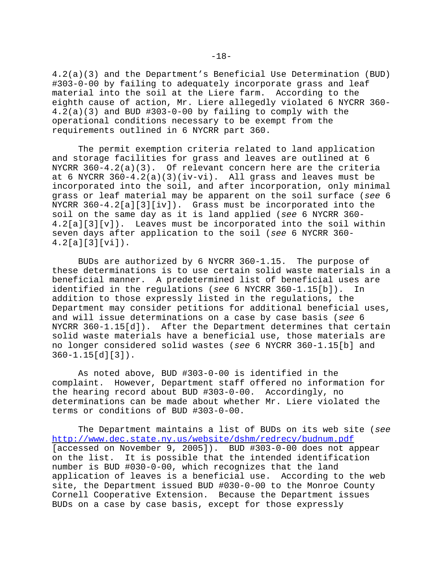4.2(a)(3) and the Department's Beneficial Use Determination (BUD) #303-0-00 by failing to adequately incorporate grass and leaf material into the soil at the Liere farm. According to the eighth cause of action, Mr. Liere allegedly violated 6 NYCRR 360- 4.2(a)(3) and BUD #303-0-00 by failing to comply with the operational conditions necessary to be exempt from the requirements outlined in 6 NYCRR part 360.

The permit exemption criteria related to land application and storage facilities for grass and leaves are outlined at 6 NYCRR 360-4.2(a)(3). Of relevant concern here are the criteria at 6 NYCRR  $360-4.2(a)(3)(iv-vi)$ . All grass and leaves must be incorporated into the soil, and after incorporation, only minimal grass or leaf material may be apparent on the soil surface (*see* 6 NYCRR 360-4.2[a][3][iv]). Grass must be incorporated into the soil on the same day as it is land applied (*see* 6 NYCRR 360- 4.2[a][3][v]). Leaves must be incorporated into the soil within seven days after application to the soil (*see* 6 NYCRR 360- 4.2[a][3][vi]).

BUDs are authorized by 6 NYCRR 360-1.15. The purpose of these determinations is to use certain solid waste materials in a beneficial manner. A predetermined list of beneficial uses are identified in the regulations (*see* 6 NYCRR 360-1.15[b]). In addition to those expressly listed in the regulations, the Department may consider petitions for additional beneficial uses, and will issue determinations on a case by case basis (*see* 6 NYCRR 360-1.15[d]). After the Department determines that certain solid waste materials have a beneficial use, those materials are no longer considered solid wastes (*see* 6 NYCRR 360-1.15[b] and 360-1.15[d][3]).

As noted above, BUD #303-0-00 is identified in the complaint. However, Department staff offered no information for the hearing record about BUD #303-0-00. Accordingly, no determinations can be made about whether Mr. Liere violated the terms or conditions of BUD #303-0-00.

The Department maintains a list of BUDs on its web site (*see* http://www.dec.state.ny.us/website/dshm/redrecy/budnum.pdf [accessed on November 9, 2005]). BUD #303-0-00 does not appear on the list. It is possible that the intended identification number is BUD #030-0-00, which recognizes that the land application of leaves is a beneficial use. According to the web site, the Department issued BUD #030-0-00 to the Monroe County Cornell Cooperative Extension. Because the Department issues BUDs on a case by case basis, except for those expressly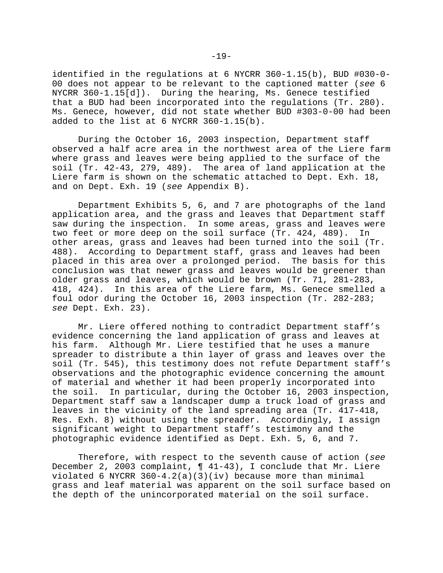identified in the regulations at 6 NYCRR 360-1.15(b), BUD #030-0- 00 does not appear to be relevant to the captioned matter (*see* 6 NYCRR 360-1.15[d]). During the hearing, Ms. Genece testified that a BUD had been incorporated into the regulations (Tr. 280). Ms. Genece, however, did not state whether BUD #303-0-00 had been added to the list at 6 NYCRR 360-1.15(b).

During the October 16, 2003 inspection, Department staff observed a half acre area in the northwest area of the Liere farm where grass and leaves were being applied to the surface of the soil (Tr. 42-43, 279, 489). The area of land application at the Liere farm is shown on the schematic attached to Dept. Exh. 18, and on Dept. Exh. 19 (*see* Appendix B).

Department Exhibits 5, 6, and 7 are photographs of the land application area, and the grass and leaves that Department staff saw during the inspection. In some areas, grass and leaves were two feet or more deep on the soil surface (Tr. 424, 489). In other areas, grass and leaves had been turned into the soil (Tr. 488). According to Department staff, grass and leaves had been placed in this area over a prolonged period. The basis for this conclusion was that newer grass and leaves would be greener than older grass and leaves, which would be brown (Tr. 71, 281-283, 418, 424). In this area of the Liere farm, Ms. Genece smelled a foul odor during the October 16, 2003 inspection (Tr. 282-283; *see* Dept. Exh. 23).

Mr. Liere offered nothing to contradict Department staff's evidence concerning the land application of grass and leaves at his farm. Although Mr. Liere testified that he uses a manure spreader to distribute a thin layer of grass and leaves over the soil (Tr. 545), this testimony does not refute Department staff's observations and the photographic evidence concerning the amount of material and whether it had been properly incorporated into the soil. In particular, during the October 16, 2003 inspection, Department staff saw a landscaper dump a truck load of grass and leaves in the vicinity of the land spreading area (Tr. 417-418, Res. Exh. 8) without using the spreader. Accordingly, I assign significant weight to Department staff's testimony and the photographic evidence identified as Dept. Exh. 5, 6, and 7.

Therefore, with respect to the seventh cause of action (*see* December 2, 2003 complaint, ¶ 41-43), I conclude that Mr. Liere violated 6 NYCRR  $360 - 4.2(a)(3)(iv)$  because more than minimal grass and leaf material was apparent on the soil surface based on the depth of the unincorporated material on the soil surface.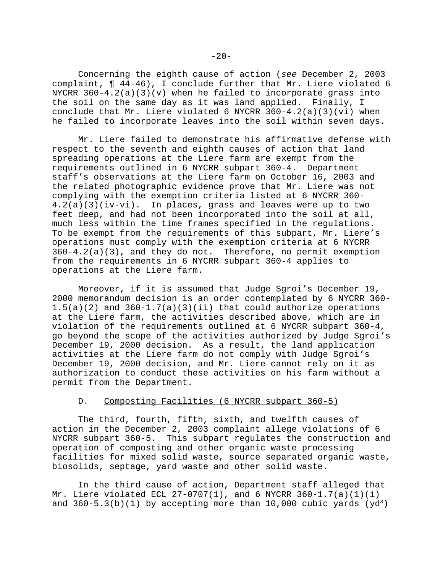Concerning the eighth cause of action (*see* December 2, 2003 complaint, ¶ 44-46), I conclude further that Mr. Liere violated 6 NYCRR  $360-4.2(a)(3)(v)$  when he failed to incorporate grass into the soil on the same day as it was land applied. Finally, I conclude that Mr. Liere violated 6 NYCRR  $360-4.2(a)(3)(vi)$  when he failed to incorporate leaves into the soil within seven days.

Mr. Liere failed to demonstrate his affirmative defense with respect to the seventh and eighth causes of action that land spreading operations at the Liere farm are exempt from the requirements outlined in 6 NYCRR subpart 360-4. Department staff's observations at the Liere farm on October 16, 2003 and the related photographic evidence prove that Mr. Liere was not complying with the exemption criteria listed at 6 NYCRR 360- 4.2(a)(3)(iv-vi). In places, grass and leaves were up to two feet deep, and had not been incorporated into the soil at all, much less within the time frames specified in the regulations. To be exempt from the requirements of this subpart, Mr. Liere's operations must comply with the exemption criteria at 6 NYCRR  $360-4.2(a)(3)$ , and they do not. Therefore, no permit exemption from the requirements in 6 NYCRR subpart 360-4 applies to operations at the Liere farm.

Moreover, if it is assumed that Judge Sgroi's December 19, 2000 memorandum decision is an order contemplated by 6 NYCRR 360-  $1.5(a)(2)$  and  $360-1.7(a)(3)(ii)$  that could authorize operations at the Liere farm, the activities described above, which are in violation of the requirements outlined at 6 NYCRR subpart 360-4, go beyond the scope of the activities authorized by Judge Sgroi's December 19, 2000 decision. As a result, the land application activities at the Liere farm do not comply with Judge Sgroi's December 19, 2000 decision, and Mr. Liere cannot rely on it as authorization to conduct these activities on his farm without a permit from the Department.

### D. Composting Facilities (6 NYCRR subpart 360-5)

The third, fourth, fifth, sixth, and twelfth causes of action in the December 2, 2003 complaint allege violations of 6 NYCRR subpart 360-5. This subpart regulates the construction and operation of composting and other organic waste processing facilities for mixed solid waste, source separated organic waste, biosolids, septage, yard waste and other solid waste.

In the third cause of action, Department staff alleged that Mr. Liere violated ECL  $27-0707(1)$ , and 6 NYCRR  $360-1.7(a)(1)(i)$ and  $360-5.3(b)(1)$  by accepting more than 10,000 cubic yards (yd<sup>3</sup>)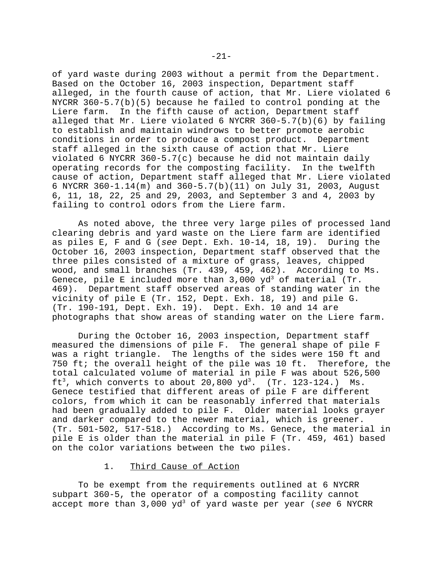of yard waste during 2003 without a permit from the Department. Based on the October 16, 2003 inspection, Department staff alleged, in the fourth cause of action, that Mr. Liere violated 6 NYCRR 360-5.7(b)(5) because he failed to control ponding at the Liere farm. In the fifth cause of action, Department staff alleged that Mr. Liere violated 6 NYCRR  $360-5.7(b)(6)$  by failing to establish and maintain windrows to better promote aerobic conditions in order to produce a compost product. Department staff alleged in the sixth cause of action that Mr. Liere violated 6 NYCRR  $360 - 5.7(c)$  because he did not maintain daily operating records for the composting facility. In the twelfth cause of action, Department staff alleged that Mr. Liere violated 6 NYCRR 360-1.14(m) and 360-5.7(b)(11) on July 31, 2003, August 6, 11, 18, 22, 25 and 29, 2003, and September 3 and 4, 2003 by failing to control odors from the Liere farm.

As noted above, the three very large piles of processed land clearing debris and yard waste on the Liere farm are identified as piles E, F and G (*see* Dept. Exh. 10-14, 18, 19). During the October 16, 2003 inspection, Department staff observed that the three piles consisted of a mixture of grass, leaves, chipped wood, and small branches (Tr. 439, 459, 462). According to Ms. Genece, pile E included more than  $3,000$  yd $3$  of material (Tr. 469). Department staff observed areas of standing water in the vicinity of pile E (Tr. 152, Dept. Exh. 18, 19) and pile G. (Tr. 190-191, Dept. Exh. 19). Dept. Exh. 10 and 14 are photographs that show areas of standing water on the Liere farm.

During the October 16, 2003 inspection, Department staff measured the dimensions of pile F. The general shape of pile F was a right triangle. The lengths of the sides were 150 ft and 750 ft; the overall height of the pile was 10 ft. Therefore, the total calculated volume of material in pile F was about 526,500 ft<sup>3</sup>, which converts to about 20,800  $yd^3$ . (Tr. 123-124.) Ms. Genece testified that different areas of pile F are different colors, from which it can be reasonably inferred that materials had been gradually added to pile F. Older material looks grayer and darker compared to the newer material, which is greener. (Tr. 501-502, 517-518.) According to Ms. Genece, the material in pile E is older than the material in pile F (Tr. 459, 461) based on the color variations between the two piles.

#### 1. Third Cause of Action

To be exempt from the requirements outlined at 6 NYCRR subpart 360-5, the operator of a composting facility cannot accept more than 3,000 yd3 of yard waste per year (*see* 6 NYCRR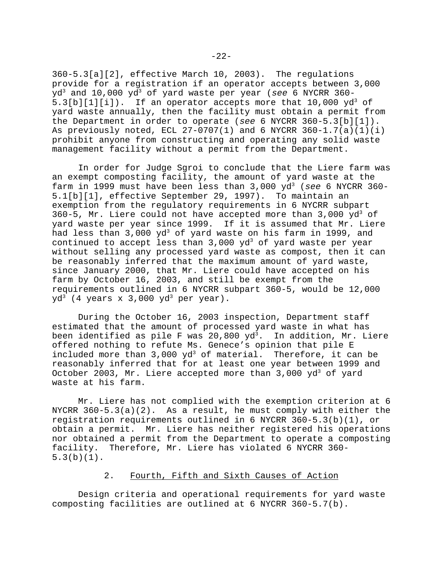360-5.3[a][2], effective March 10, 2003). The regulations provide for a registration if an operator accepts between 3,000 yd3 and 10,000 yd3 of yard waste per year (*see* 6 NYCRR 360- 5.3[b][1][i]). If an operator accepts more that  $10,000 \text{ yd}^3$  of yard waste annually, then the facility must obtain a permit from the Department in order to operate (*see* 6 NYCRR 360-5.3[b][1]). As previously noted, ECL  $27-0707(1)$  and 6 NYCRR  $360-1.7(a)(1)(i)$ prohibit anyone from constructing and operating any solid waste management facility without a permit from the Department.

In order for Judge Sgroi to conclude that the Liere farm was an exempt composting facility, the amount of yard waste at the farm in 1999 must have been less than  $3,000$   $yd^3$  (see 6 NYCRR 360-5.1[b][1], effective September 29, 1997). To maintain an exemption from the regulatory requirements in 6 NYCRR subpart 360-5, Mr. Liere could not have accepted more than  $3,000$  yd<sup>3</sup> of yard waste per year since 1999. If it is assumed that Mr. Liere had less than  $3,000 \text{ yd}^3$  of yard waste on his farm in 1999, and continued to accept less than 3,000 yd<sup>3</sup> of yard waste per year without selling any processed yard waste as compost, then it can be reasonably inferred that the maximum amount of yard waste, since January 2000, that Mr. Liere could have accepted on his farm by October 16, 2003, and still be exempt from the requirements outlined in 6 NYCRR subpart 360-5, would be 12,000  $yd^3$  (4 years x 3,000 yd<sup>3</sup> per year).

During the October 16, 2003 inspection, Department staff estimated that the amount of processed yard waste in what has been identified as pile F was 20,800  $yd^3$ . In addition, Mr. Liere offered nothing to refute Ms. Genece's opinion that pile E included more than  $3,000 \text{ yd}^3$  of material. Therefore, it can be reasonably inferred that for at least one year between 1999 and October 2003, Mr. Liere accepted more than 3,000  $\mathrm{yd}^{\text{3}}$  of  $\mathrm{yard}$ waste at his farm.

Mr. Liere has not complied with the exemption criterion at 6 NYCRR  $360-5.3(a)(2)$ . As a result, he must comply with either the registration requirements outlined in 6 NYCRR 360-5.3(b)(1), or obtain a permit. Mr. Liere has neither registered his operations nor obtained a permit from the Department to operate a composting facility. Therefore, Mr. Liere has violated 6 NYCRR 360- 5.3(b)(1).

### 2. Fourth, Fifth and Sixth Causes of Action

Design criteria and operational requirements for yard waste composting facilities are outlined at 6 NYCRR 360-5.7(b).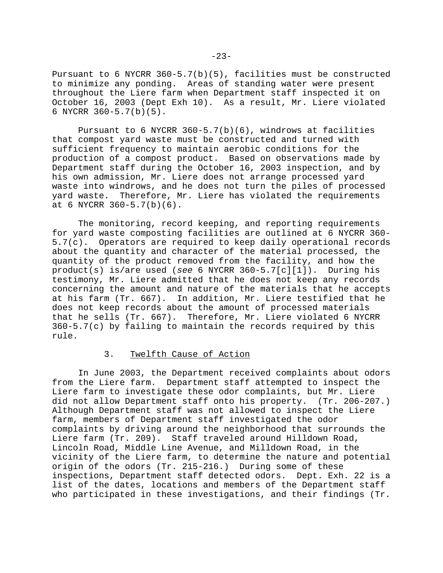Pursuant to 6 NYCRR 360-5.7(b)(5), facilities must be constructed to minimize any ponding. Areas of standing water were present throughout the Liere farm when Department staff inspected it on October 16, 2003 (Dept Exh 10). As a result, Mr. Liere violated 6 NYCRR 360-5.7(b)(5).

Pursuant to 6 NYCRR  $360-5.7(b)(6)$ , windrows at facilities that compost yard waste must be constructed and turned with sufficient frequency to maintain aerobic conditions for the production of a compost product. Based on observations made by Department staff during the October 16, 2003 inspection, and by his own admission, Mr. Liere does not arrange processed yard waste into windrows, and he does not turn the piles of processed yard waste. Therefore, Mr. Liere has violated the requirements at 6 NYCRR 360-5.7(b)(6).

The monitoring, record keeping, and reporting requirements for yard waste composting facilities are outlined at 6 NYCRR 360- 5.7(c). Operators are required to keep daily operational records about the quantity and character of the material processed, the quantity of the product removed from the facility, and how the product(s) is/are used (*see* 6 NYCRR 360-5.7[c][1]). During his testimony, Mr. Liere admitted that he does not keep any records concerning the amount and nature of the materials that he accepts at his farm (Tr. 667). In addition, Mr. Liere testified that he does not keep records about the amount of processed materials that he sells (Tr. 667). Therefore, Mr. Liere violated 6 NYCRR  $360-5.7(c)$  by failing to maintain the records required by this rule.

## 3. Twelfth Cause of Action

In June 2003, the Department received complaints about odors from the Liere farm. Department staff attempted to inspect the Liere farm to investigate these odor complaints, but Mr. Liere did not allow Department staff onto his property. (Tr. 206-207.) Although Department staff was not allowed to inspect the Liere farm, members of Department staff investigated the odor complaints by driving around the neighborhood that surrounds the Liere farm (Tr. 209). Staff traveled around Hilldown Road, Lincoln Road, Middle Line Avenue, and Milldown Road, in the vicinity of the Liere farm, to determine the nature and potential origin of the odors (Tr. 215-216.) During some of these inspections, Department staff detected odors. Dept. Exh. 22 is a list of the dates, locations and members of the Department staff who participated in these investigations, and their findings (Tr.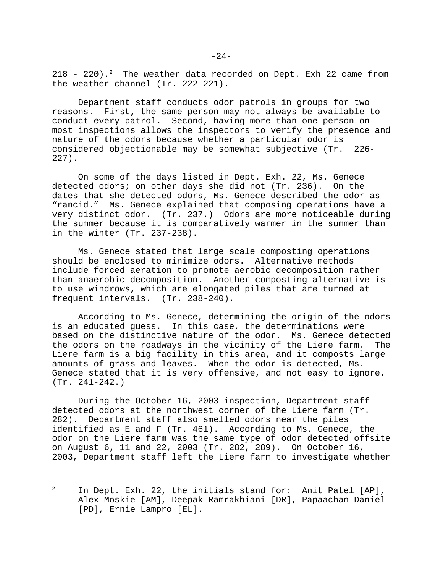$218$  -  $220$ ).<sup>2</sup> The weather data recorded on Dept. Exh 22 came from the weather channel (Tr. 222-221).

Department staff conducts odor patrols in groups for two reasons. First, the same person may not always be available to conduct every patrol. Second, having more than one person on most inspections allows the inspectors to verify the presence and nature of the odors because whether a particular odor is considered objectionable may be somewhat subjective (Tr. 226- 227).

On some of the days listed in Dept. Exh. 22, Ms. Genece detected odors; on other days she did not (Tr. 236). On the dates that she detected odors, Ms. Genece described the odor as "rancid." Ms. Genece explained that composing operations have a very distinct odor. (Tr. 237.) Odors are more noticeable during the summer because it is comparatively warmer in the summer than in the winter (Tr. 237-238).

Ms. Genece stated that large scale composting operations should be enclosed to minimize odors. Alternative methods include forced aeration to promote aerobic decomposition rather than anaerobic decomposition. Another composting alternative is to use windrows, which are elongated piles that are turned at frequent intervals. (Tr. 238-240).

According to Ms. Genece, determining the origin of the odors is an educated guess. In this case, the determinations were based on the distinctive nature of the odor. Ms. Genece detected the odors on the roadways in the vicinity of the Liere farm. The Liere farm is a big facility in this area, and it composts large amounts of grass and leaves. When the odor is detected, Ms. Genece stated that it is very offensive, and not easy to ignore. (Tr. 241-242.)

During the October 16, 2003 inspection, Department staff detected odors at the northwest corner of the Liere farm (Tr. 282). Department staff also smelled odors near the piles identified as E and F (Tr. 461). According to Ms. Genece, the odor on the Liere farm was the same type of odor detected offsite on August 6, 11 and 22, 2003 (Tr. 282, 289). On October 16, 2003, Department staff left the Liere farm to investigate whether

In Dept. Exh. 22, the initials stand for: Anit Patel [AP], Alex Moskie [AM], Deepak Ramrakhiani [DR], Papaachan Daniel [PD], Ernie Lampro [EL].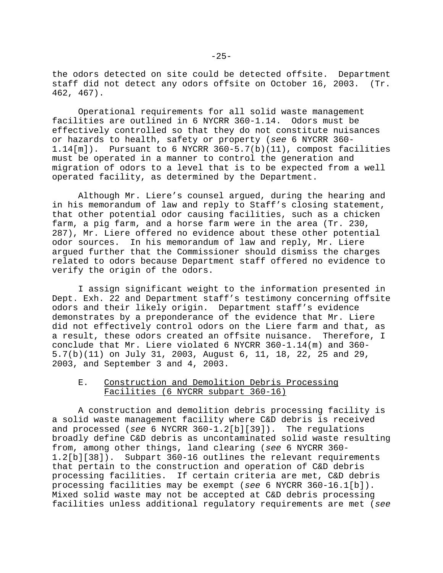the odors detected on site could be detected offsite. Department staff did not detect any odors offsite on October 16, 2003. (Tr. 462, 467).

Operational requirements for all solid waste management facilities are outlined in 6 NYCRR 360-1.14. Odors must be effectively controlled so that they do not constitute nuisances or hazards to health, safety or property (*see* 6 NYCRR 360- 1.14[m]). Pursuant to 6 NYCRR 360-5.7(b)(11), compost facilities must be operated in a manner to control the generation and migration of odors to a level that is to be expected from a well operated facility, as determined by the Department.

Although Mr. Liere's counsel argued, during the hearing and in his memorandum of law and reply to Staff's closing statement, that other potential odor causing facilities, such as a chicken farm, a pig farm, and a horse farm were in the area (Tr. 230, 287), Mr. Liere offered no evidence about these other potential odor sources. In his memorandum of law and reply, Mr. Liere argued further that the Commissioner should dismiss the charges related to odors because Department staff offered no evidence to verify the origin of the odors.

I assign significant weight to the information presented in Dept. Exh. 22 and Department staff's testimony concerning offsite odors and their likely origin. Department staff's evidence demonstrates by a preponderance of the evidence that Mr. Liere did not effectively control odors on the Liere farm and that, as a result, these odors created an offsite nuisance. Therefore, I conclude that Mr. Liere violated 6 NYCRR 360-1.14(m) and 360- 5.7(b)(11) on July 31, 2003, August 6, 11, 18, 22, 25 and 29, 2003, and September 3 and 4, 2003.

### E. Construction and Demolition Debris Processing Facilities (6 NYCRR subpart 360-16)

A construction and demolition debris processing facility is a solid waste management facility where C&D debris is received and processed (*see* 6 NYCRR 360-1.2[b][39]). The regulations broadly define C&D debris as uncontaminated solid waste resulting from, among other things, land clearing (*see* 6 NYCRR 360- 1.2[b][38]). Subpart 360-16 outlines the relevant requirements that pertain to the construction and operation of C&D debris processing facilities. If certain criteria are met, C&D debris processing facilities may be exempt (*see* 6 NYCRR 360-16.1[b]). Mixed solid waste may not be accepted at C&D debris processing facilities unless additional regulatory requirements are met (*see*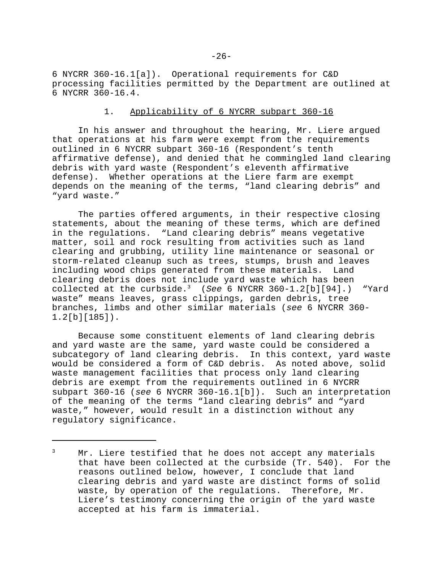6 NYCRR 360-16.1[a]). Operational requirements for C&D processing facilities permitted by the Department are outlined at 6 NYCRR 360-16.4.

### 1. Applicability of 6 NYCRR subpart 360-16

In his answer and throughout the hearing, Mr. Liere argued that operations at his farm were exempt from the requirements outlined in 6 NYCRR subpart 360-16 (Respondent's tenth affirmative defense), and denied that he commingled land clearing debris with yard waste (Respondent's eleventh affirmative defense). Whether operations at the Liere farm are exempt depends on the meaning of the terms, "land clearing debris" and "yard waste."

The parties offered arguments, in their respective closing statements, about the meaning of these terms, which are defined in the regulations. "Land clearing debris" means vegetative matter, soil and rock resulting from activities such as land clearing and grubbing, utility line maintenance or seasonal or storm-related cleanup such as trees, stumps, brush and leaves including wood chips generated from these materials. Land clearing debris does not include yard waste which has been collected at the curbside.3 (*See* 6 NYCRR 360-1.2[b][94].) "Yard waste" means leaves, grass clippings, garden debris, tree branches, limbs and other similar materials (*see* 6 NYCRR 360- 1.2[b][185]).

Because some constituent elements of land clearing debris and yard waste are the same, yard waste could be considered a subcategory of land clearing debris. In this context, yard waste would be considered a form of C&D debris. As noted above, solid waste management facilities that process only land clearing debris are exempt from the requirements outlined in 6 NYCRR subpart 360-16 (*see* 6 NYCRR 360-16.1[b]). Such an interpretation of the meaning of the terms "land clearing debris" and "yard waste," however, would result in a distinction without any regulatory significance.

<sup>&</sup>lt;sup>3</sup> Mr. Liere testified that he does not accept any materials that have been collected at the curbside (Tr. 540). For the reasons outlined below, however, I conclude that land clearing debris and yard waste are distinct forms of solid waste, by operation of the regulations. Therefore, Mr. Liere's testimony concerning the origin of the yard waste accepted at his farm is immaterial.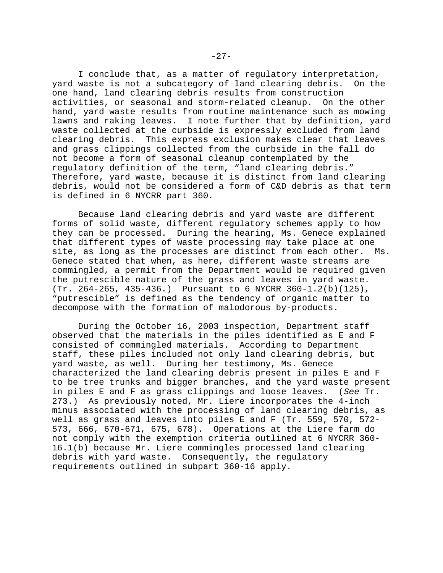I conclude that, as a matter of regulatory interpretation, yard waste is not a subcategory of land clearing debris. On the one hand, land clearing debris results from construction activities, or seasonal and storm-related cleanup. On the other hand, yard waste results from routine maintenance such as mowing lawns and raking leaves. I note further that by definition, yard waste collected at the curbside is expressly excluded from land clearing debris. This express exclusion makes clear that leaves and grass clippings collected from the curbside in the fall do not become a form of seasonal cleanup contemplated by the regulatory definition of the term, "land clearing debris." Therefore, yard waste, because it is distinct from land clearing debris, would not be considered a form of C&D debris as that term is defined in 6 NYCRR part 360.

Because land clearing debris and yard waste are different forms of solid waste, different regulatory schemes apply to how they can be processed. During the hearing, Ms. Genece explained that different types of waste processing may take place at one site, as long as the processes are distinct from each other. Ms. Genece stated that when, as here, different waste streams are commingled, a permit from the Department would be required given the putrescible nature of the grass and leaves in yard waste. (Tr. 264-265, 435-436.) Pursuant to 6 NYCRR 360-1.2(b)(125), "putrescible" is defined as the tendency of organic matter to decompose with the formation of malodorous by-products.

During the October 16, 2003 inspection, Department staff observed that the materials in the piles identified as E and F consisted of commingled materials. According to Department staff, these piles included not only land clearing debris, but yard waste, as well. During her testimony, Ms. Genece characterized the land clearing debris present in piles E and F to be tree trunks and bigger branches, and the yard waste present in piles E and F as grass clippings and loose leaves. (*See* Tr. 273.) As previously noted, Mr. Liere incorporates the 4-inch minus associated with the processing of land clearing debris, as well as grass and leaves into piles E and F (Tr. 559, 570, 572- 573, 666, 670-671, 675, 678). Operations at the Liere farm do not comply with the exemption criteria outlined at 6 NYCRR 360- 16.1(b) because Mr. Liere commingles processed land clearing debris with yard waste. Consequently, the regulatory requirements outlined in subpart 360-16 apply.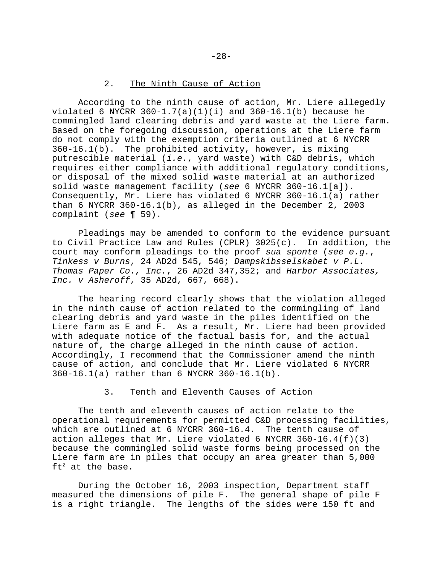### 2. The Ninth Cause of Action

According to the ninth cause of action, Mr. Liere allegedly violated 6 NYCRR  $360-1.7(a)(1)(i)$  and  $360-16.1(b)$  because he commingled land clearing debris and yard waste at the Liere farm. Based on the foregoing discussion, operations at the Liere farm do not comply with the exemption criteria outlined at 6 NYCRR 360-16.1(b). The prohibited activity, however, is mixing putrescible material (*i.e.*, yard waste) with C&D debris, which requires either compliance with additional regulatory conditions, or disposal of the mixed solid waste material at an authorized solid waste management facility (*see* 6 NYCRR 360-16.1[a]). Consequently, Mr. Liere has violated 6 NYCRR 360-16.1(a) rather than 6 NYCRR 360-16.1(b), as alleged in the December 2, 2003 complaint (*see* ¶ 59).

Pleadings may be amended to conform to the evidence pursuant to Civil Practice Law and Rules (CPLR) 3025(c). In addition, the court may conform pleadings to the proof *sua sponte* (*see e.g.*, *Tinkess v Burns*, 24 AD2d 545, 546; *Dampskibsselskabet v P.L. Thomas Paper Co., Inc.*, 26 AD2d 347,352; and *Harbor Associates, Inc. v Asheroff*, 35 AD2d, 667, 668).

The hearing record clearly shows that the violation alleged in the ninth cause of action related to the commingling of land clearing debris and yard waste in the piles identified on the Liere farm as E and F. As a result, Mr. Liere had been provided with adequate notice of the factual basis for, and the actual nature of, the charge alleged in the ninth cause of action. Accordingly, I recommend that the Commissioner amend the ninth cause of action, and conclude that Mr. Liere violated 6 NYCRR 360-16.1(a) rather than 6 NYCRR 360-16.1(b).

### 3. Tenth and Eleventh Causes of Action

The tenth and eleventh causes of action relate to the operational requirements for permitted C&D processing facilities, which are outlined at 6 NYCRR 360-16.4. The tenth cause of action alleges that Mr. Liere violated 6 NYCRR  $360-16.4(f)(3)$ because the commingled solid waste forms being processed on the Liere farm are in piles that occupy an area greater than 5,000  $ft^2$  at the base.

During the October 16, 2003 inspection, Department staff measured the dimensions of pile F. The general shape of pile F is a right triangle. The lengths of the sides were 150 ft and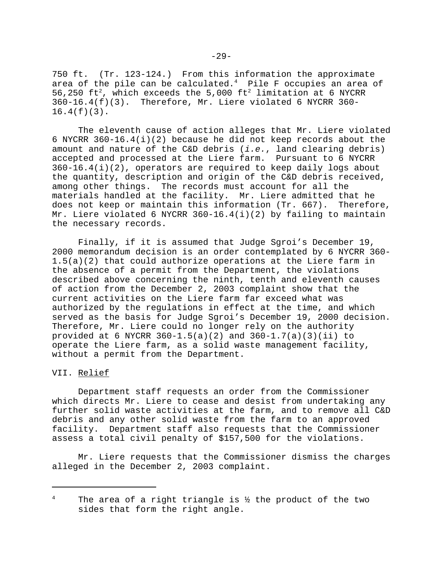750 ft. (Tr. 123-124.) From this information the approximate area of the pile can be calculated. $^4$  Pile F occupies an area of 56,250 ft<sup>2</sup>, which exceeds the 5,000 ft<sup>2</sup> limitation at 6 NYCRR 360-16.4(f)(3). Therefore, Mr. Liere violated 6 NYCRR 360- 16.4(f)(3).

The eleventh cause of action alleges that Mr. Liere violated 6 NYCRR 360-16.4(i)(2) because he did not keep records about the amount and nature of the C&D debris (*i.e.*, land clearing debris) accepted and processed at the Liere farm. Pursuant to 6 NYCRR  $360-16.4(i)(2)$ , operators are required to keep daily logs about the quantity, description and origin of the C&D debris received, among other things. The records must account for all the materials handled at the facility. Mr. Liere admitted that he does not keep or maintain this information (Tr. 667). Therefore, Mr. Liere violated 6 NYCRR 360-16.4(i)(2) by failing to maintain the necessary records.

Finally, if it is assumed that Judge Sgroi's December 19, 2000 memorandum decision is an order contemplated by 6 NYCRR 360- 1.5(a)(2) that could authorize operations at the Liere farm in the absence of a permit from the Department, the violations described above concerning the ninth, tenth and eleventh causes of action from the December 2, 2003 complaint show that the current activities on the Liere farm far exceed what was authorized by the regulations in effect at the time, and which served as the basis for Judge Sgroi's December 19, 2000 decision. Therefore, Mr. Liere could no longer rely on the authority provided at 6 NYCRR 360-1.5(a)(2) and  $360-1.7(a)(3)(ii)$  to operate the Liere farm, as a solid waste management facility, without a permit from the Department.

### VII. Relief

Department staff requests an order from the Commissioner which directs Mr. Liere to cease and desist from undertaking any further solid waste activities at the farm, and to remove all C&D debris and any other solid waste from the farm to an approved facility. Department staff also requests that the Commissioner assess a total civil penalty of \$157,500 for the violations.

Mr. Liere requests that the Commissioner dismiss the charges alleged in the December 2, 2003 complaint.

<sup>&</sup>lt;sup>4</sup> The area of a right triangle is  $\frac{1}{2}$  the product of the two sides that form the right angle.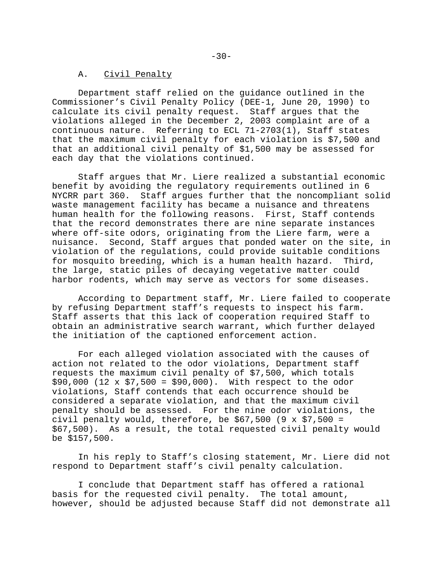#### A. Civil Penalty

Department staff relied on the guidance outlined in the Commissioner's Civil Penalty Policy (DEE-1, June 20, 1990) to calculate its civil penalty request. Staff argues that the violations alleged in the December 2, 2003 complaint are of a continuous nature. Referring to ECL 71-2703(1), Staff states that the maximum civil penalty for each violation is \$7,500 and that an additional civil penalty of \$1,500 may be assessed for each day that the violations continued.

Staff argues that Mr. Liere realized a substantial economic benefit by avoiding the regulatory requirements outlined in 6 NYCRR part 360. Staff argues further that the noncompliant solid waste management facility has became a nuisance and threatens human health for the following reasons. First, Staff contends that the record demonstrates there are nine separate instances where off-site odors, originating from the Liere farm, were a nuisance. Second, Staff argues that ponded water on the site, in violation of the regulations, could provide suitable conditions for mosquito breeding, which is a human health hazard. Third, the large, static piles of decaying vegetative matter could harbor rodents, which may serve as vectors for some diseases.

According to Department staff, Mr. Liere failed to cooperate by refusing Department staff's requests to inspect his farm. Staff asserts that this lack of cooperation required Staff to obtain an administrative search warrant, which further delayed the initiation of the captioned enforcement action.

For each alleged violation associated with the causes of action not related to the odor violations, Department staff requests the maximum civil penalty of \$7,500, which totals  $$90,000$  (12 x  $$7,500 = $90,000$ ). With respect to the odor violations, Staff contends that each occurrence should be considered a separate violation, and that the maximum civil penalty should be assessed. For the nine odor violations, the civil penalty would, therefore, be  $$67,500$  (9 x  $$7,500 =$ \$67,500). As a result, the total requested civil penalty would be \$157,500.

In his reply to Staff's closing statement, Mr. Liere did not respond to Department staff's civil penalty calculation.

I conclude that Department staff has offered a rational basis for the requested civil penalty. The total amount, however, should be adjusted because Staff did not demonstrate all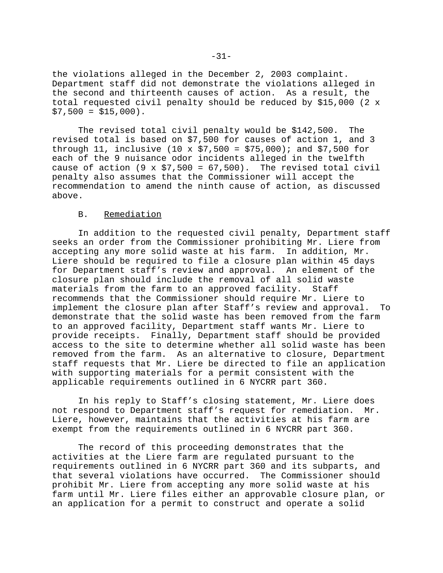the violations alleged in the December 2, 2003 complaint. Department staff did not demonstrate the violations alleged in the second and thirteenth causes of action. As a result, the total requested civil penalty should be reduced by \$15,000 (2 x  $$7,500 = $15,000$ .

The revised total civil penalty would be \$142,500. The revised total is based on \$7,500 for causes of action 1, and 3 through 11, inclusive (10 x  $$7,500 = $75,000$ ); and \$7,500 for each of the 9 nuisance odor incidents alleged in the twelfth cause of action (9 x  $$7,500 = 67,500$ ). The revised total civil penalty also assumes that the Commissioner will accept the recommendation to amend the ninth cause of action, as discussed above.

### B. Remediation

In addition to the requested civil penalty, Department staff seeks an order from the Commissioner prohibiting Mr. Liere from accepting any more solid waste at his farm. In addition, Mr. Liere should be required to file a closure plan within 45 days for Department staff's review and approval. An element of the closure plan should include the removal of all solid waste materials from the farm to an approved facility. Staff recommends that the Commissioner should require Mr. Liere to implement the closure plan after Staff's review and approval. To demonstrate that the solid waste has been removed from the farm to an approved facility, Department staff wants Mr. Liere to provide receipts. Finally, Department staff should be provided access to the site to determine whether all solid waste has been removed from the farm. As an alternative to closure, Department staff requests that Mr. Liere be directed to file an application with supporting materials for a permit consistent with the applicable requirements outlined in 6 NYCRR part 360.

In his reply to Staff's closing statement, Mr. Liere does not respond to Department staff's request for remediation. Mr. Liere, however, maintains that the activities at his farm are exempt from the requirements outlined in 6 NYCRR part 360.

The record of this proceeding demonstrates that the activities at the Liere farm are regulated pursuant to the requirements outlined in 6 NYCRR part 360 and its subparts, and that several violations have occurred. The Commissioner should prohibit Mr. Liere from accepting any more solid waste at his farm until Mr. Liere files either an approvable closure plan, or an application for a permit to construct and operate a solid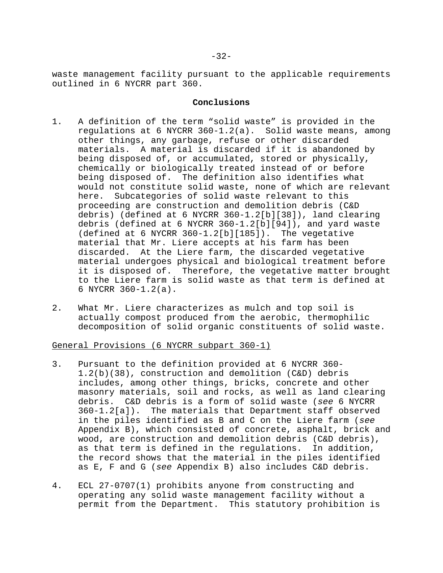waste management facility pursuant to the applicable requirements outlined in 6 NYCRR part 360.

### **Conclusions**

- 1. A definition of the term "solid waste" is provided in the regulations at 6 NYCRR 360-1.2(a). Solid waste means, among other things, any garbage, refuse or other discarded materials. A material is discarded if it is abandoned by being disposed of, or accumulated, stored or physically, chemically or biologically treated instead of or before being disposed of. The definition also identifies what would not constitute solid waste, none of which are relevant here. Subcategories of solid waste relevant to this proceeding are construction and demolition debris (C&D debris) (defined at 6 NYCRR 360-1.2[b][38]), land clearing debris (defined at 6 NYCRR 360-1.2[b][94]), and yard waste (defined at 6 NYCRR 360-1.2[b][185]). The vegetative material that Mr. Liere accepts at his farm has been discarded. At the Liere farm, the discarded vegetative material undergoes physical and biological treatment before it is disposed of. Therefore, the vegetative matter brought to the Liere farm is solid waste as that term is defined at 6 NYCRR 360-1.2(a).
- 2. What Mr. Liere characterizes as mulch and top soil is actually compost produced from the aerobic, thermophilic decomposition of solid organic constituents of solid waste.

General Provisions (6 NYCRR subpart 360-1)

- 3. Pursuant to the definition provided at 6 NYCRR 360- 1.2(b)(38), construction and demolition (C&D) debris includes, among other things, bricks, concrete and other masonry materials, soil and rocks, as well as land clearing debris. C&D debris is a form of solid waste (*see* 6 NYCRR 360-1.2[a]). The materials that Department staff observed in the piles identified as B and C on the Liere farm (*see* Appendix B), which consisted of concrete, asphalt, brick and wood, are construction and demolition debris (C&D debris), as that term is defined in the regulations. In addition, the record shows that the material in the piles identified as E, F and G (*see* Appendix B) also includes C&D debris.
- 4. ECL 27-0707(1) prohibits anyone from constructing and operating any solid waste management facility without a permit from the Department. This statutory prohibition is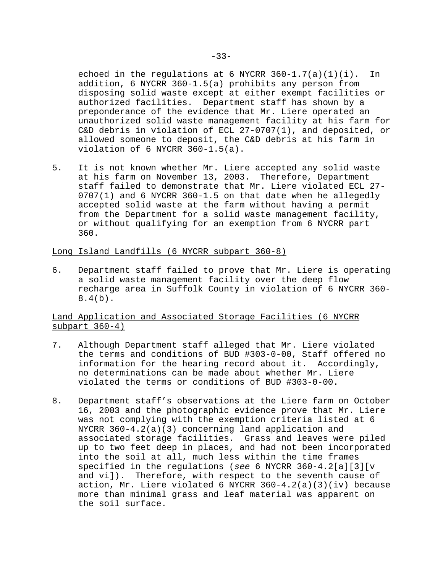echoed in the requlations at 6 NYCRR  $360-1.7(a)(1)(i)$ . In addition, 6 NYCRR 360-1.5(a) prohibits any person from disposing solid waste except at either exempt facilities or authorized facilities. Department staff has shown by a preponderance of the evidence that Mr. Liere operated an unauthorized solid waste management facility at his farm for C&D debris in violation of ECL 27-0707(1), and deposited, or allowed someone to deposit, the C&D debris at his farm in violation of 6 NYCRR 360-1.5(a).

5. It is not known whether Mr. Liere accepted any solid waste at his farm on November 13, 2003. Therefore, Department staff failed to demonstrate that Mr. Liere violated ECL 27-  $0707(1)$  and 6 NYCRR 360-1.5 on that date when he allegedly accepted solid waste at the farm without having a permit from the Department for a solid waste management facility, or without qualifying for an exemption from 6 NYCRR part 360.

### Long Island Landfills (6 NYCRR subpart 360-8)

6. Department staff failed to prove that Mr. Liere is operating a solid waste management facility over the deep flow recharge area in Suffolk County in violation of 6 NYCRR 360-  $8.4(b)$ .

# Land Application and Associated Storage Facilities (6 NYCRR subpart 360-4)

- 7. Although Department staff alleged that Mr. Liere violated the terms and conditions of BUD #303-0-00, Staff offered no information for the hearing record about it. Accordingly, no determinations can be made about whether Mr. Liere violated the terms or conditions of BUD #303-0-00.
- 8. Department staff's observations at the Liere farm on October 16, 2003 and the photographic evidence prove that Mr. Liere was not complying with the exemption criteria listed at 6 NYCRR 360-4.2(a)(3) concerning land application and associated storage facilities. Grass and leaves were piled up to two feet deep in places, and had not been incorporated into the soil at all, much less within the time frames specified in the regulations (*see* 6 NYCRR 360-4.2[a][3][v and vi]). Therefore, with respect to the seventh cause of action, Mr. Liere violated 6 NYCRR 360-4.2(a)(3)(iv) because more than minimal grass and leaf material was apparent on the soil surface.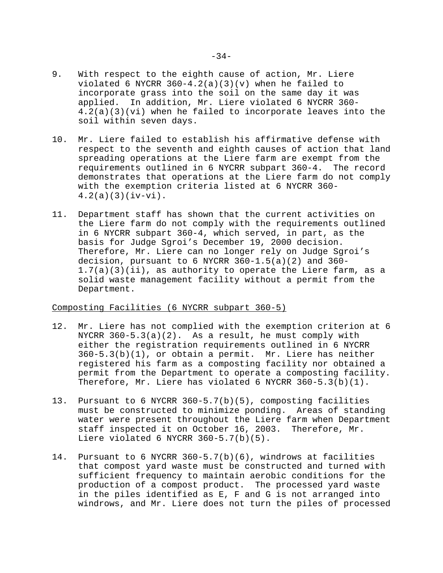- 9. With respect to the eighth cause of action, Mr. Liere violated 6 NYCRR  $360-4.2(a)(3)(v)$  when he failed to incorporate grass into the soil on the same day it was applied. In addition, Mr. Liere violated 6 NYCRR 360- 4.2(a)(3)(vi) when he failed to incorporate leaves into the soil within seven days.
- 10. Mr. Liere failed to establish his affirmative defense with respect to the seventh and eighth causes of action that land spreading operations at the Liere farm are exempt from the requirements outlined in 6 NYCRR subpart 360-4. The record demonstrates that operations at the Liere farm do not comply with the exemption criteria listed at 6 NYCRR 360-  $4.2(a)(3)(iv-vi)$ .
- 11. Department staff has shown that the current activities on the Liere farm do not comply with the requirements outlined in 6 NYCRR subpart 360-4, which served, in part, as the basis for Judge Sgroi's December 19, 2000 decision. Therefore, Mr. Liere can no longer rely on Judge Sgroi's decision, pursuant to  $6$  NYCRR  $360-1.5(a)(2)$  and  $360-$ 1.7(a)(3)(ii), as authority to operate the Liere farm, as a solid waste management facility without a permit from the Department.

### Composting Facilities (6 NYCRR subpart 360-5)

- 12. Mr. Liere has not complied with the exemption criterion at 6 NYCRR  $360-5.3(a)(2)$ . As a result, he must comply with either the registration requirements outlined in 6 NYCRR 360-5.3(b)(1), or obtain a permit. Mr. Liere has neither registered his farm as a composting facility nor obtained a permit from the Department to operate a composting facility. Therefore, Mr. Liere has violated 6 NYCRR 360-5.3(b)(1).
- 13. Pursuant to 6 NYCRR 360-5.7(b)(5), composting facilities must be constructed to minimize ponding. Areas of standing water were present throughout the Liere farm when Department staff inspected it on October 16, 2003. Therefore, Mr. Liere violated 6 NYCRR 360-5.7(b)(5).
- 14. Pursuant to 6 NYCRR 360-5.7(b)(6), windrows at facilities that compost yard waste must be constructed and turned with sufficient frequency to maintain aerobic conditions for the production of a compost product. The processed yard waste in the piles identified as E, F and G is not arranged into windrows, and Mr. Liere does not turn the piles of processed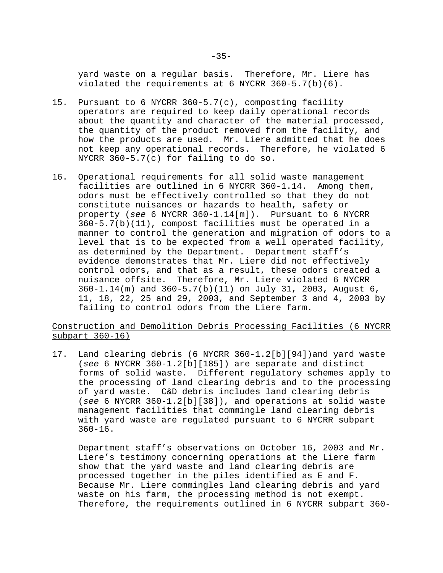yard waste on a regular basis. Therefore, Mr. Liere has violated the requirements at 6 NYCRR 360-5.7(b)(6).

- 15. Pursuant to 6 NYCRR 360-5.7(c), composting facility operators are required to keep daily operational records about the quantity and character of the material processed, the quantity of the product removed from the facility, and how the products are used. Mr. Liere admitted that he does not keep any operational records. Therefore, he violated 6 NYCRR 360-5.7(c) for failing to do so.
- 16. Operational requirements for all solid waste management facilities are outlined in 6 NYCRR 360-1.14. Among them, odors must be effectively controlled so that they do not constitute nuisances or hazards to health, safety or property (*see* 6 NYCRR 360-1.14[m]). Pursuant to 6 NYCRR 360-5.7(b)(11), compost facilities must be operated in a manner to control the generation and migration of odors to a level that is to be expected from a well operated facility, as determined by the Department. Department staff's evidence demonstrates that Mr. Liere did not effectively control odors, and that as a result, these odors created a nuisance offsite. Therefore, Mr. Liere violated 6 NYCRR 360-1.14(m) and 360-5.7(b)(11) on July 31, 2003, August 6, 11, 18, 22, 25 and 29, 2003, and September 3 and 4, 2003 by failing to control odors from the Liere farm.

# Construction and Demolition Debris Processing Facilities (6 NYCRR subpart 360-16)

17. Land clearing debris (6 NYCRR 360-1.2[b][94])and yard waste (*see* 6 NYCRR 360-1.2[b][185]) are separate and distinct forms of solid waste. Different regulatory schemes apply to the processing of land clearing debris and to the processing of yard waste. C&D debris includes land clearing debris (*see* 6 NYCRR 360-1.2[b][38]), and operations at solid waste management facilities that commingle land clearing debris with yard waste are regulated pursuant to 6 NYCRR subpart 360-16.

Department staff's observations on October 16, 2003 and Mr. Liere's testimony concerning operations at the Liere farm show that the yard waste and land clearing debris are processed together in the piles identified as E and F. Because Mr. Liere commingles land clearing debris and yard waste on his farm, the processing method is not exempt. Therefore, the requirements outlined in 6 NYCRR subpart 360-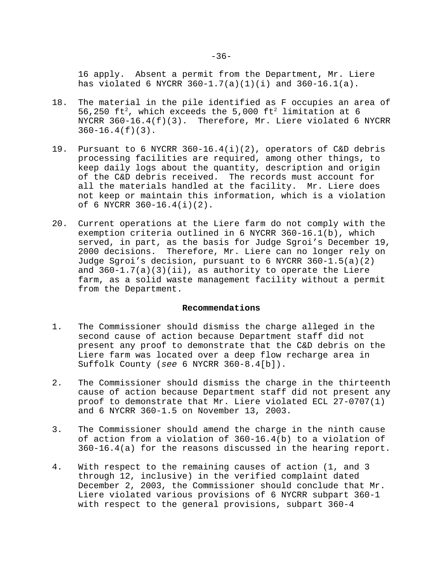16 apply. Absent a permit from the Department, Mr. Liere has violated 6 NYCRR 360-1.7(a)(1)(i) and 360-16.1(a).

- 18. The material in the pile identified as F occupies an area of 56,250  $ft^2$ , which exceeds the 5,000  $ft^2$  limitation at 6 NYCRR  $360-16.4(f)(3)$ . Therefore, Mr. Liere violated 6 NYCRR  $360-16.4(f)(3)$ .
- 19. Pursuant to 6 NYCRR 360-16.4(i)(2), operators of C&D debris processing facilities are required, among other things, to keep daily logs about the quantity, description and origin of the C&D debris received. The records must account for all the materials handled at the facility. Mr. Liere does not keep or maintain this information, which is a violation of 6 NYCRR 360-16.4(i)(2).
- 20. Current operations at the Liere farm do not comply with the exemption criteria outlined in 6 NYCRR 360-16.1(b), which served, in part, as the basis for Judge Sgroi's December 19, 2000 decisions. Therefore, Mr. Liere can no longer rely on Judge Sgroi's decision, pursuant to 6 NYCRR 360-1.5(a)(2) and  $360-1.7(a)(3)(ii)$ , as authority to operate the Liere farm, as a solid waste management facility without a permit from the Department.

#### **Recommendations**

- 1. The Commissioner should dismiss the charge alleged in the second cause of action because Department staff did not present any proof to demonstrate that the C&D debris on the Liere farm was located over a deep flow recharge area in Suffolk County (*see* 6 NYCRR 360-8.4[b]).
- 2. The Commissioner should dismiss the charge in the thirteenth cause of action because Department staff did not present any proof to demonstrate that Mr. Liere violated ECL 27-0707(1) and 6 NYCRR 360-1.5 on November 13, 2003.
- 3. The Commissioner should amend the charge in the ninth cause of action from a violation of 360-16.4(b) to a violation of 360-16.4(a) for the reasons discussed in the hearing report.
- 4. With respect to the remaining causes of action (1, and 3 through 12, inclusive) in the verified complaint dated December 2, 2003, the Commissioner should conclude that Mr. Liere violated various provisions of 6 NYCRR subpart 360-1 with respect to the general provisions, subpart 360-4